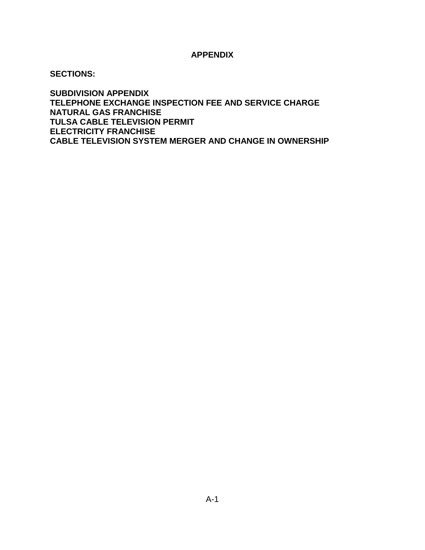#### **APPENDIX**

**SECTIONS:**

**SUBDIVISION APPENDIX TELEPHONE EXCHANGE INSPECTION FEE AND SERVICE CHARGE NATURAL GAS FRANCHISE TULSA CABLE TELEVISION PERMIT ELECTRICITY FRANCHISE CABLE TELEVISION SYSTEM MERGER AND CHANGE IN OWNERSHIP**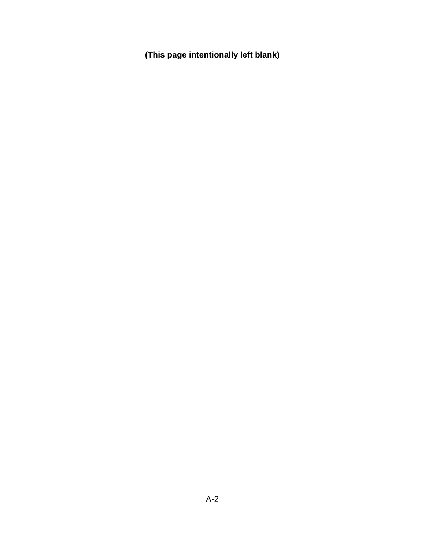**(This page intentionally left blank)**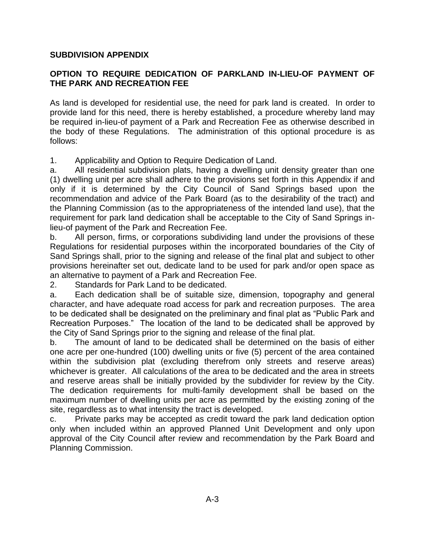## **SUBDIVISION APPENDIX**

## **OPTION TO REQUIRE DEDICATION OF PARKLAND IN-LIEU-OF PAYMENT OF THE PARK AND RECREATION FEE**

As land is developed for residential use, the need for park land is created. In order to provide land for this need, there is hereby established, a procedure whereby land may be required in-lieu-of payment of a Park and Recreation Fee as otherwise described in the body of these Regulations. The administration of this optional procedure is as follows:

1. Applicability and Option to Require Dedication of Land.

a. All residential subdivision plats, having a dwelling unit density greater than one (1) dwelling unit per acre shall adhere to the provisions set forth in this Appendix if and only if it is determined by the City Council of Sand Springs based upon the recommendation and advice of the Park Board (as to the desirability of the tract) and the Planning Commission (as to the appropriateness of the intended land use), that the requirement for park land dedication shall be acceptable to the City of Sand Springs inlieu-of payment of the Park and Recreation Fee.

b. All person, firms, or corporations subdividing land under the provisions of these Regulations for residential purposes within the incorporated boundaries of the City of Sand Springs shall, prior to the signing and release of the final plat and subject to other provisions hereinafter set out, dedicate land to be used for park and/or open space as an alternative to payment of a Park and Recreation Fee.

2. Standards for Park Land to be dedicated.

a. Each dedication shall be of suitable size, dimension, topography and general character, and have adequate road access for park and recreation purposes. The area to be dedicated shall be designated on the preliminary and final plat as "Public Park and Recreation Purposes." The location of the land to be dedicated shall be approved by the City of Sand Springs prior to the signing and release of the final plat.

b. The amount of land to be dedicated shall be determined on the basis of either one acre per one-hundred (100) dwelling units or five (5) percent of the area contained within the subdivision plat (excluding therefrom only streets and reserve areas) whichever is greater. All calculations of the area to be dedicated and the area in streets and reserve areas shall be initially provided by the subdivider for review by the City. The dedication requirements for multi-family development shall be based on the maximum number of dwelling units per acre as permitted by the existing zoning of the site, regardless as to what intensity the tract is developed.

c. Private parks may be accepted as credit toward the park land dedication option only when included within an approved Planned Unit Development and only upon approval of the City Council after review and recommendation by the Park Board and Planning Commission.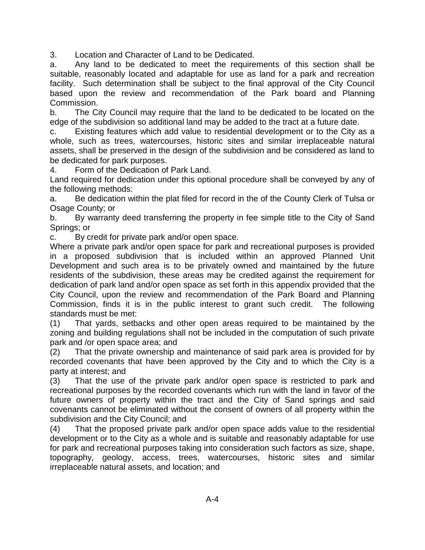3. Location and Character of Land to be Dedicated.

a. Any land to be dedicated to meet the requirements of this section shall be suitable, reasonably located and adaptable for use as land for a park and recreation facility. Such determination shall be subject to the final approval of the City Council based upon the review and recommendation of the Park board and Planning Commission.

b. The City Council may require that the land to be dedicated to be located on the edge of the subdivision so additional land may be added to the tract at a future date.

c. Existing features which add value to residential development or to the City as a whole, such as trees, watercourses, historic sites and similar irreplaceable natural assets, shall be preserved in the design of the subdivision and be considered as land to be dedicated for park purposes.

4. Form of the Dedication of Park Land.

Land required for dedication under this optional procedure shall be conveyed by any of the following methods:

a. Be dedication within the plat filed for record in the of the County Clerk of Tulsa or Osage County; or

b. By warranty deed transferring the property in fee simple title to the City of Sand Springs; or

c. By credit for private park and/or open space.

Where a private park and/or open space for park and recreational purposes is provided in a proposed subdivision that is included within an approved Planned Unit Development and such area is to be privately owned and maintained by the future residents of the subdivision, these areas may be credited against the requirement for dedication of park land and/or open space as set forth in this appendix provided that the City Council, upon the review and recommendation of the Park Board and Planning Commission, finds it is in the public interest to grant such credit. The following standards must be met:

(1) That yards, setbacks and other open areas required to be maintained by the zoning and building regulations shall not be included in the computation of such private park and /or open space area; and

(2) That the private ownership and maintenance of said park area is provided for by recorded covenants that have been approved by the City and to which the City is a party at interest; and

(3) That the use of the private park and/or open space is restricted to park and recreational purposes by the recorded covenants which run with the land in favor of the future owners of property within the tract and the City of Sand springs and said covenants cannot be eliminated without the consent of owners of all property within the subdivision and the City Council; and

(4) That the proposed private park and/or open space adds value to the residential development or to the City as a whole and is suitable and reasonably adaptable for use for park and recreational purposes taking into consideration such factors as size, shape, topography, geology, access, trees, watercourses, historic sites and similar irreplaceable natural assets, and location; and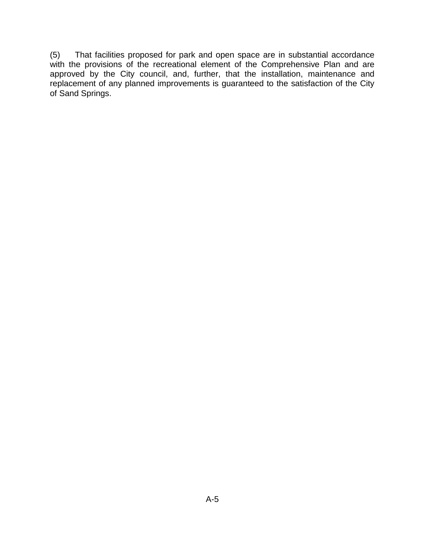(5) That facilities proposed for park and open space are in substantial accordance with the provisions of the recreational element of the Comprehensive Plan and are approved by the City council, and, further, that the installation, maintenance and replacement of any planned improvements is guaranteed to the satisfaction of the City of Sand Springs.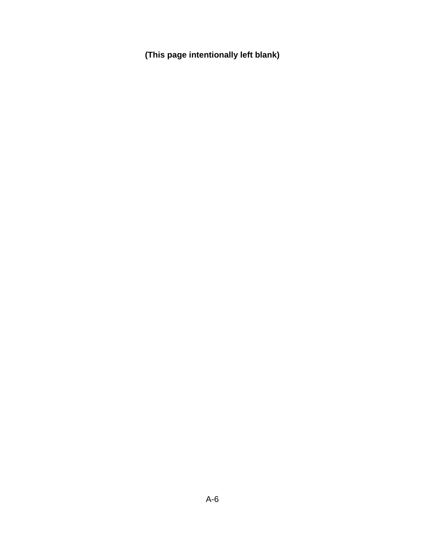**(This page intentionally left blank)**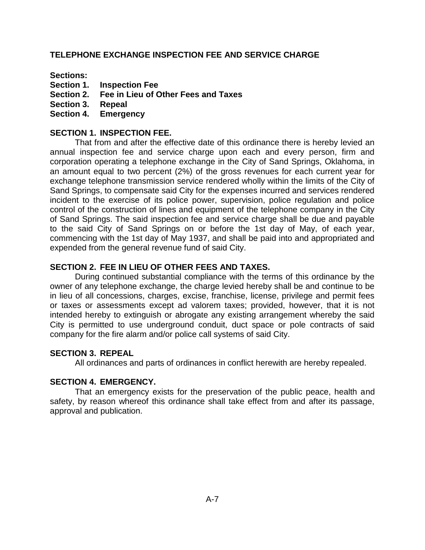## **TELEPHONE EXCHANGE INSPECTION FEE AND SERVICE CHARGE**

#### **Sections:**

- **Section 1. Inspection Fee**
- **Section 2. Fee in Lieu of Other Fees and Taxes**
- **Section 3. Repeal**
- **Section 4. Emergency**

## **SECTION 1. INSPECTION FEE.**

That from and after the effective date of this ordinance there is hereby levied an annual inspection fee and service charge upon each and every person, firm and corporation operating a telephone exchange in the City of Sand Springs, Oklahoma, in an amount equal to two percent (2%) of the gross revenues for each current year for exchange telephone transmission service rendered wholly within the limits of the City of Sand Springs, to compensate said City for the expenses incurred and services rendered incident to the exercise of its police power, supervision, police regulation and police control of the construction of lines and equipment of the telephone company in the City of Sand Springs. The said inspection fee and service charge shall be due and payable to the said City of Sand Springs on or before the 1st day of May, of each year, commencing with the 1st day of May 1937, and shall be paid into and appropriated and expended from the general revenue fund of said City.

## **SECTION 2. FEE IN LIEU OF OTHER FEES AND TAXES.**

During continued substantial compliance with the terms of this ordinance by the owner of any telephone exchange, the charge levied hereby shall be and continue to be in lieu of all concessions, charges, excise, franchise, license, privilege and permit fees or taxes or assessments except ad valorem taxes; provided, however, that it is not intended hereby to extinguish or abrogate any existing arrangement whereby the said City is permitted to use underground conduit, duct space or pole contracts of said company for the fire alarm and/or police call systems of said City.

#### **SECTION 3. REPEAL**

All ordinances and parts of ordinances in conflict herewith are hereby repealed.

# **SECTION 4. EMERGENCY.**

That an emergency exists for the preservation of the public peace, health and safety, by reason whereof this ordinance shall take effect from and after its passage, approval and publication.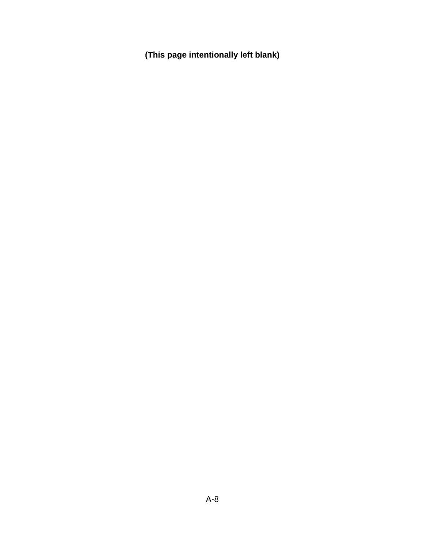**(This page intentionally left blank)**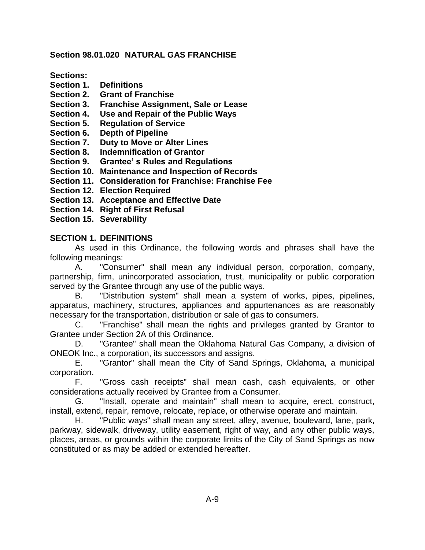#### **Section 98.01.020 NATURAL GAS FRANCHISE**

**Sections:**

- **Section 1. Definitions**
- **Section 2. Grant of Franchise**
- **Section 3. Franchise Assignment, Sale or Lease**
- Use and Repair of the Public Ways
- **Section 5. Regulation of Service**
- 
- **Section 6. Depth of Pipeline Duty to Move or Alter Lines**
- **Section 8. Indemnification of Grantor**
- **Section 9. Grantee' s Rules and Regulations**
- **Section 10. Maintenance and Inspection of Records**
- **Section 11. Consideration for Franchise: Franchise Fee**
- **Section 12. Election Required**
- **Section 13. Acceptance and Effective Date**
- **Section 14. Right of First Refusal**
- **Section 15. Severability**

## **SECTION 1. DEFINITIONS**

As used in this Ordinance, the following words and phrases shall have the following meanings:

A. "Consumer" shall mean any individual person, corporation, company, partnership, firm, unincorporated association, trust, municipality or public corporation served by the Grantee through any use of the public ways.

B. "Distribution system" shall mean a system of works, pipes, pipelines, apparatus, machinery, structures, appliances and appurtenances as are reasonably necessary for the transportation, distribution or sale of gas to consumers.

C. "Franchise" shall mean the rights and privileges granted by Grantor to Grantee under Section 2A of this Ordinance.

D. "Grantee" shall mean the Oklahoma Natural Gas Company, a division of ONEOK Inc., a corporation, its successors and assigns.

E. "Grantor" shall mean the City of Sand Springs, Oklahoma, a municipal corporation.

F. "Gross cash receipts" shall mean cash, cash equivalents, or other considerations actually received by Grantee from a Consumer.

G. "Install, operate and maintain" shall mean to acquire, erect, construct, install, extend, repair, remove, relocate, replace, or otherwise operate and maintain.

H. "Public ways" shall mean any street, alley, avenue, boulevard, lane, park, parkway, sidewalk, driveway, utility easement, right of way, and any other public ways, places, areas, or grounds within the corporate limits of the City of Sand Springs as now constituted or as may be added or extended hereafter.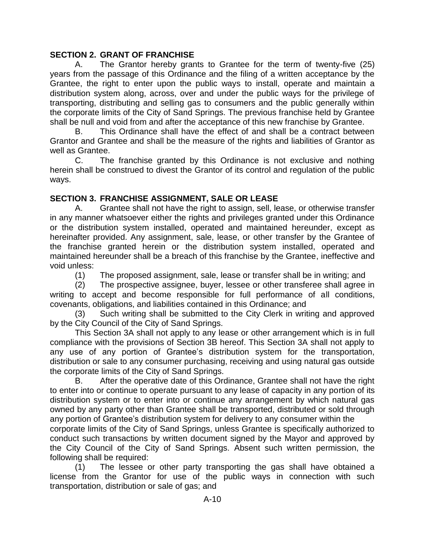#### **SECTION 2. GRANT OF FRANCHISE**

A. The Grantor hereby grants to Grantee for the term of twenty-five (25) years from the passage of this Ordinance and the filing of a written acceptance by the Grantee, the right to enter upon the public ways to install, operate and maintain a distribution system along, across, over and under the public ways for the privilege of transporting, distributing and selling gas to consumers and the public generally within the corporate limits of the City of Sand Springs. The previous franchise held by Grantee shall be null and void from and after the acceptance of this new franchise by Grantee.

B. This Ordinance shall have the effect of and shall be a contract between Grantor and Grantee and shall be the measure of the rights and liabilities of Grantor as well as Grantee.

C. The franchise granted by this Ordinance is not exclusive and nothing herein shall be construed to divest the Grantor of its control and regulation of the public ways.

# **SECTION 3. FRANCHISE ASSIGNMENT, SALE OR LEASE**

A. Grantee shall not have the right to assign, sell, lease, or otherwise transfer in any manner whatsoever either the rights and privileges granted under this Ordinance or the distribution system installed, operated and maintained hereunder, except as hereinafter provided. Any assignment, sale, lease, or other transfer by the Grantee of the franchise granted herein or the distribution system installed, operated and maintained hereunder shall be a breach of this franchise by the Grantee, ineffective and void unless:

(1) The proposed assignment, sale, lease or transfer shall be in writing; and

(2) The prospective assignee, buyer, lessee or other transferee shall agree in writing to accept and become responsible for full performance of all conditions, covenants, obligations, and liabilities contained in this Ordinance; and

(3) Such writing shall be submitted to the City Clerk in writing and approved by the City Council of the City of Sand Springs.

This Section 3A shall not apply to any lease or other arrangement which is in full compliance with the provisions of Section 3B hereof. This Section 3A shall not apply to any use of any portion of Grantee's distribution system for the transportation, distribution or sale to any consumer purchasing, receiving and using natural gas outside the corporate limits of the City of Sand Springs.

B. After the operative date of this Ordinance, Grantee shall not have the right to enter into or continue to operate pursuant to any lease of capacity in any portion of its distribution system or to enter into or continue any arrangement by which natural gas owned by any party other than Grantee shall be transported, distributed or sold through any portion of Grantee's distribution system for delivery to any consumer within the corporate limits of the City of Sand Springs, unless Grantee is specifically authorized to conduct such transactions by written document signed by the Mayor and approved by the City Council of the City of Sand Springs. Absent such written permission, the

following shall be required: (1) The lessee or other party transporting the gas shall have obtained a license from the Grantor for use of the public ways in connection with such transportation, distribution or sale of gas; and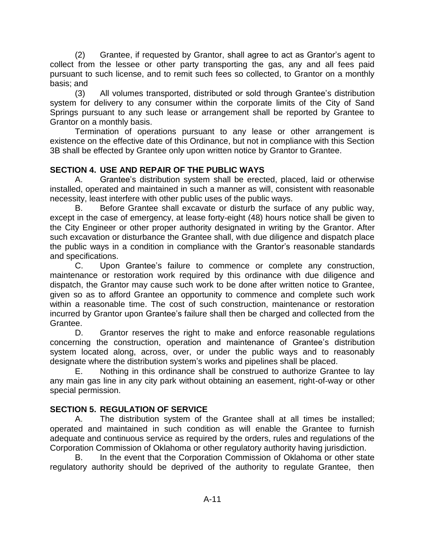(2) Grantee, if requested by Grantor, shall agree to act as Grantor's agent to collect from the lessee or other party transporting the gas, any and all fees paid pursuant to such license, and to remit such fees so collected, to Grantor on a monthly basis; and

(3) All volumes transported, distributed or sold through Grantee's distribution system for delivery to any consumer within the corporate limits of the City of Sand Springs pursuant to any such lease or arrangement shall be reported by Grantee to Grantor on a monthly basis.

Termination of operations pursuant to any lease or other arrangement is existence on the effective date of this Ordinance, but not in compliance with this Section 3B shall be effected by Grantee only upon written notice by Grantor to Grantee.

# **SECTION 4. USE AND REPAIR OF THE PUBLIC WAYS**

A. Grantee's distribution system shall be erected, placed, laid or otherwise installed, operated and maintained in such a manner as will, consistent with reasonable necessity, least interfere with other public uses of the public ways.

B. Before Grantee shall excavate or disturb the surface of any public way, except in the case of emergency, at lease forty-eight (48) hours notice shall be given to the City Engineer or other proper authority designated in writing by the Grantor. After such excavation or disturbance the Grantee shall, with due diligence and dispatch place the public ways in a condition in compliance with the Grantor's reasonable standards and specifications.

C. Upon Grantee's failure to commence or complete any construction, maintenance or restoration work required by this ordinance with due diligence and dispatch, the Grantor may cause such work to be done after written notice to Grantee, given so as to afford Grantee an opportunity to commence and complete such work within a reasonable time. The cost of such construction, maintenance or restoration incurred by Grantor upon Grantee's failure shall then be charged and collected from the Grantee.

D. Grantor reserves the right to make and enforce reasonable regulations concerning the construction, operation and maintenance of Grantee's distribution system located along, across, over, or under the public ways and to reasonably designate where the distribution system's works and pipelines shall be placed.

E. Nothing in this ordinance shall be construed to authorize Grantee to lay any main gas line in any city park without obtaining an easement, right-of-way or other special permission.

# **SECTION 5. REGULATION OF SERVICE**

A. The distribution system of the Grantee shall at all times be installed; operated and maintained in such condition as will enable the Grantee to furnish adequate and continuous service as required by the orders, rules and regulations of the Corporation Commission of Oklahoma or other regulatory authority having jurisdiction.

B. In the event that the Corporation Commission of Oklahoma or other state regulatory authority should be deprived of the authority to regulate Grantee, then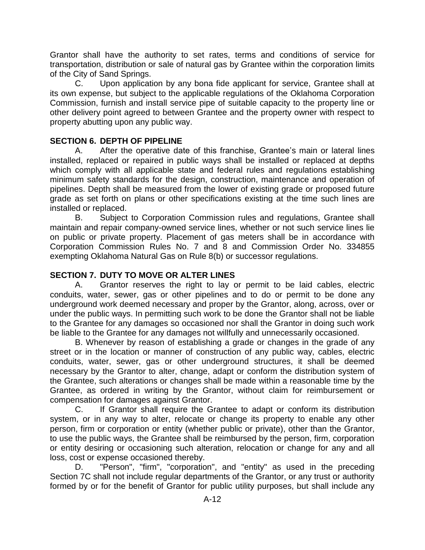Grantor shall have the authority to set rates, terms and conditions of service for transportation, distribution or sale of natural gas by Grantee within the corporation limits of the City of Sand Springs.

C. Upon application by any bona fide applicant for service, Grantee shall at its own expense, but subject to the applicable regulations of the Oklahoma Corporation Commission, furnish and install service pipe of suitable capacity to the property line or other delivery point agreed to between Grantee and the property owner with respect to property abutting upon any public way.

## **SECTION 6. DEPTH OF PIPELINE**

A. After the operative date of this franchise, Grantee's main or lateral lines installed, replaced or repaired in public ways shall be installed or replaced at depths which comply with all applicable state and federal rules and regulations establishing minimum safety standards for the design, construction, maintenance and operation of pipelines. Depth shall be measured from the lower of existing grade or proposed future grade as set forth on plans or other specifications existing at the time such lines are installed or replaced.

B. Subject to Corporation Commission rules and regulations, Grantee shall maintain and repair company-owned service lines, whether or not such service lines lie on public or private property. Placement of gas meters shall be in accordance with Corporation Commission Rules No. 7 and 8 and Commission Order No. 334855 exempting Oklahoma Natural Gas on Rule 8(b) or successor regulations.

## **SECTION 7. DUTY TO MOVE OR ALTER LINES**

A. Grantor reserves the right to lay or permit to be laid cables, electric conduits, water, sewer, gas or other pipelines and to do or permit to be done any underground work deemed necessary and proper by the Grantor, along, across, over or under the public ways. In permitting such work to be done the Grantor shall not be liable to the Grantee for any damages so occasioned nor shall the Grantor in doing such work be liable to the Grantee for any damages not willfully and unnecessarily occasioned.

B. Whenever by reason of establishing a grade or changes in the grade of any street or in the location or manner of construction of any public way, cables, electric conduits, water, sewer, gas or other underground structures, it shall be deemed necessary by the Grantor to alter, change, adapt or conform the distribution system of the Grantee, such alterations or changes shall be made within a reasonable time by the Grantee, as ordered in writing by the Grantor, without claim for reimbursement or compensation for damages against Grantor.

C. If Grantor shall require the Grantee to adapt or conform its distribution system, or in any way to alter, relocate or change its property to enable any other person, firm or corporation or entity (whether public or private), other than the Grantor, to use the public ways, the Grantee shall be reimbursed by the person, firm, corporation or entity desiring or occasioning such alteration, relocation or change for any and all loss, cost or expense occasioned thereby.

D. "Person", "firm", "corporation", and "entity" as used in the preceding Section 7C shall not include regular departments of the Grantor, or any trust or authority formed by or for the benefit of Grantor for public utility purposes, but shall include any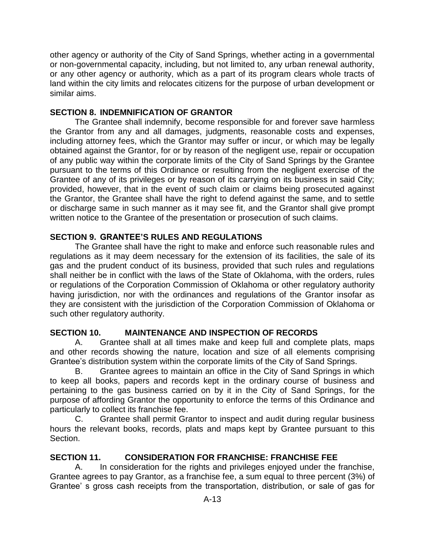other agency or authority of the City of Sand Springs, whether acting in a governmental or non-governmental capacity, including, but not limited to, any urban renewal authority, or any other agency or authority, which as a part of its program clears whole tracts of land within the city limits and relocates citizens for the purpose of urban development or similar aims.

# **SECTION 8. INDEMNIFICATION OF GRANTOR**

The Grantee shall indemnify, become responsible for and forever save harmless the Grantor from any and all damages, judgments, reasonable costs and expenses, including attorney fees, which the Grantor may suffer or incur, or which may be legally obtained against the Grantor, for or by reason of the negligent use, repair or occupation of any public way within the corporate limits of the City of Sand Springs by the Grantee pursuant to the terms of this Ordinance or resulting from the negligent exercise of the Grantee of any of its privileges or by reason of its carrying on its business in said City; provided, however, that in the event of such claim or claims being prosecuted against the Grantor, the Grantee shall have the right to defend against the same, and to settle or discharge same in such manner as it may see fit, and the Grantor shall give prompt written notice to the Grantee of the presentation or prosecution of such claims.

# **SECTION 9. GRANTEE'S RULES AND REGULATIONS**

The Grantee shall have the right to make and enforce such reasonable rules and regulations as it may deem necessary for the extension of its facilities, the sale of its gas and the prudent conduct of its business, provided that such rules and regulations shall neither be in conflict with the laws of the State of Oklahoma, with the orders, rules or regulations of the Corporation Commission of Oklahoma or other regulatory authority having jurisdiction, nor with the ordinances and regulations of the Grantor insofar as they are consistent with the jurisdiction of the Corporation Commission of Oklahoma or such other regulatory authority.

# **SECTION 10. MAINTENANCE AND INSPECTION OF RECORDS**

A. Grantee shall at all times make and keep full and complete plats, maps and other records showing the nature, location and size of all elements comprising Grantee's distribution system within the corporate limits of the City of Sand Springs.

B. Grantee agrees to maintain an office in the City of Sand Springs in which to keep all books, papers and records kept in the ordinary course of business and pertaining to the gas business carried on by it in the City of Sand Springs, for the purpose of affording Grantor the opportunity to enforce the terms of this Ordinance and particularly to collect its franchise fee.

C. Grantee shall permit Grantor to inspect and audit during regular business hours the relevant books, records, plats and maps kept by Grantee pursuant to this Section.

# **SECTION 11. CONSIDERATION FOR FRANCHISE: FRANCHISE FEE**

A. In consideration for the rights and privileges enjoyed under the franchise, Grantee agrees to pay Grantor, as a franchise fee, a sum equal to three percent (3%) of Grantee' s gross cash receipts from the transportation, distribution, or sale of gas for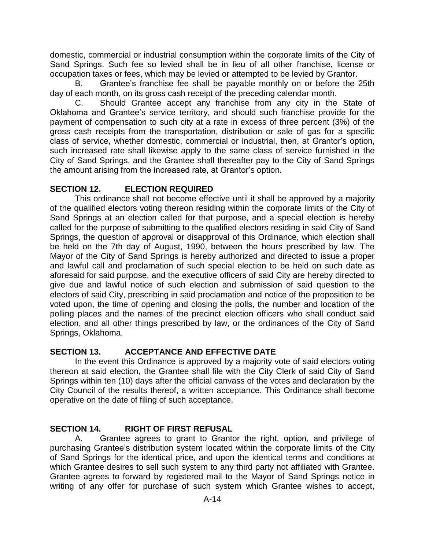domestic, commercial or industrial consumption within the corporate limits of the City of Sand Springs. Such fee so levied shall be in lieu of all other franchise, license or occupation taxes or fees, which may be levied or attempted to be levied by Grantor.

B. Grantee's franchise fee shall be payable monthly on or before the 25th day of each month, on its gross cash receipt of the preceding calendar month.

C. Should Grantee accept any franchise from any city in the State of Oklahoma and Grantee's service territory, and should such franchise provide for the payment of compensation to such city at a rate in excess of three percent (3%) of the gross cash receipts from the transportation, distribution or sale of gas for a specific class of service, whether domestic, commercial or industrial, then, at Grantor's option, such increased rate shall likewise apply to the same class of service furnished in the City of Sand Springs, and the Grantee shall thereafter pay to the City of Sand Springs the amount arising from the increased rate, at Grantor's option.

# **SECTION 12. ELECTION REQUIRED**

This ordinance shall not become effective until it shall be approved by a majority of the qualified electors voting thereon residing within the corporate limits of the City of Sand Springs at an election called for that purpose, and a special election is hereby called for the purpose of submitting to the qualified electors residing in said City of Sand Springs, the question of approval or disapproval of this Ordinance, which election shall be held on the 7th day of August, 1990, between the hours prescribed by law. The Mayor of the City of Sand Springs is hereby authorized and directed to issue a proper and lawful call and proclamation of such special election to be held on such date as aforesaid for said purpose, and the executive officers of said City are hereby directed to give due and lawful notice of such election and submission of said question to the electors of said City, prescribing in said proclamation and notice of the proposition to be voted upon, the time of opening and closing the polls, the number and location of the polling places and the names of the precinct election officers who shall conduct said election, and all other things prescribed by law, or the ordinances of the City of Sand Springs, Oklahoma.

# **SECTION 13. ACCEPTANCE AND EFFECTIVE DATE**

In the event this Ordinance is approved by a majority vote of said electors voting thereon at said election, the Grantee shall file with the City Clerk of said City of Sand Springs within ten (10) days after the official canvass of the votes and declaration by the City Council of the results thereof, a written acceptance. This Ordinance shall become operative on the date of filing of such acceptance.

# **SECTION 14. RIGHT OF FIRST REFUSAL**

A. Grantee agrees to grant to Grantor the right, option, and privilege of purchasing Grantee's distribution system located within the corporate limits of the City of Sand Springs for the identical price, and upon the identical terms and conditions at which Grantee desires to sell such system to any third party not affiliated with Grantee. Grantee agrees to forward by registered mail to the Mayor of Sand Springs notice in writing of any offer for purchase of such system which Grantee wishes to accept,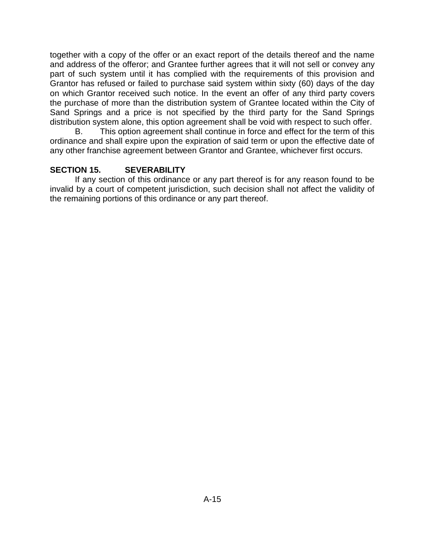together with a copy of the offer or an exact report of the details thereof and the name and address of the offeror; and Grantee further agrees that it will not sell or convey any part of such system until it has complied with the requirements of this provision and Grantor has refused or failed to purchase said system within sixty (60) days of the day on which Grantor received such notice. In the event an offer of any third party covers the purchase of more than the distribution system of Grantee located within the City of Sand Springs and a price is not specified by the third party for the Sand Springs distribution system alone, this option agreement shall be void with respect to such offer.

B. This option agreement shall continue in force and effect for the term of this ordinance and shall expire upon the expiration of said term or upon the effective date of any other franchise agreement between Grantor and Grantee, whichever first occurs.

# **SECTION 15. SEVERABILITY**

If any section of this ordinance or any part thereof is for any reason found to be invalid by a court of competent jurisdiction, such decision shall not affect the validity of the remaining portions of this ordinance or any part thereof.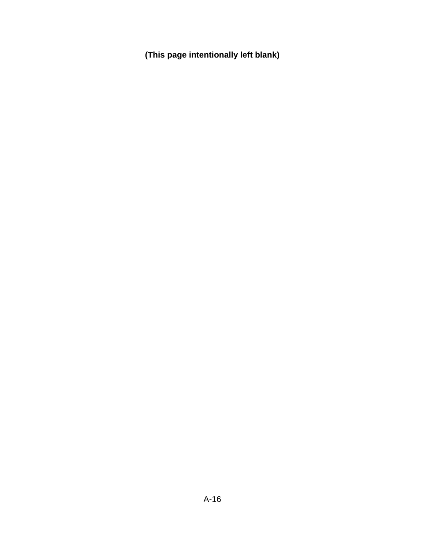**(This page intentionally left blank)**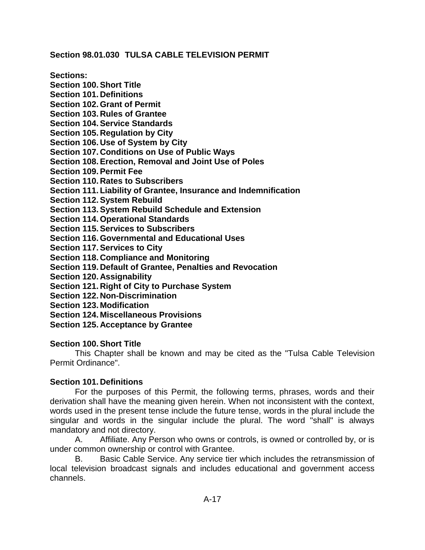**Section 98.01.030 TULSA CABLE TELEVISION PERMIT**

**Sections:**

**Section 100.Short Title Section 101. Definitions Section 102. Grant of Permit Section 103. Rules of Grantee Section 104.Service Standards Section 105. Regulation by City Section 106. Use of System by City Section 107. Conditions on Use of Public Ways Section 108.Erection, Removal and Joint Use of Poles Section 109.Permit Fee Section 110. Rates to Subscribers Section 111. Liability of Grantee, Insurance and Indemnification Section 112.System Rebuild Section 113.System Rebuild Schedule and Extension Section 114. Operational Standards Section 115.Services to Subscribers Section 116. Governmental and Educational Uses Section 117.Services to City Section 118. Compliance and Monitoring Section 119. Default of Grantee, Penalties and Revocation Section 120. Assignability Section 121. Right of City to Purchase System Section 122. Non-Discrimination Section 123. Modification Section 124. Miscellaneous Provisions**

# **Section 125. Acceptance by Grantee**

#### **Section 100.Short Title**

This Chapter shall be known and may be cited as the "Tulsa Cable Television Permit Ordinance".

# **Section 101. Definitions**

For the purposes of this Permit, the following terms, phrases, words and their derivation shall have the meaning given herein. When not inconsistent with the context, words used in the present tense include the future tense, words in the plural include the singular and words in the singular include the plural. The word "shall" is always mandatory and not directory.

A. Affiliate. Any Person who owns or controls, is owned or controlled by, or is under common ownership or control with Grantee.

B. Basic Cable Service. Any service tier which includes the retransmission of local television broadcast signals and includes educational and government access channels.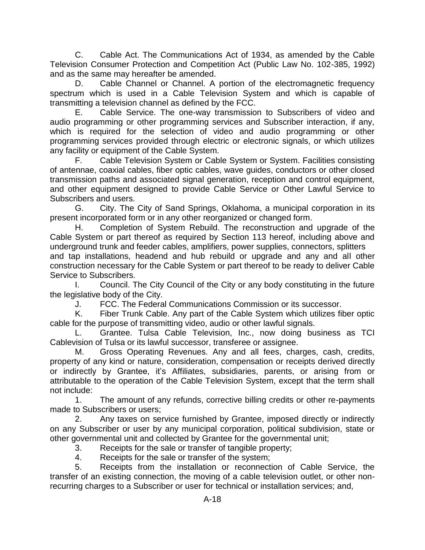C. Cable Act. The Communications Act of 1934, as amended by the Cable Television Consumer Protection and Competition Act (Public Law No. 102-385, 1992) and as the same may hereafter be amended.

D. Cable Channel or Channel. A portion of the electromagnetic frequency spectrum which is used in a Cable Television System and which is capable of transmitting a television channel as defined by the FCC.

E. Cable Service. The one-way transmission to Subscribers of video and audio programming or other programming services and Subscriber interaction, if any, which is required for the selection of video and audio programming or other programming services provided through electric or electronic signals, or which utilizes any facility or equipment of the Cable System.

F. Cable Television System or Cable System or System. Facilities consisting of antennae, coaxial cables, fiber optic cables, wave guides, conductors or other closed transmission paths and associated signal generation, reception and control equipment, and other equipment designed to provide Cable Service or Other Lawful Service to Subscribers and users.

G. City. The City of Sand Springs, Oklahoma, a municipal corporation in its present incorporated form or in any other reorganized or changed form.

H. Completion of System Rebuild. The reconstruction and upgrade of the Cable System or part thereof as required by Section 113 hereof, including above and underground trunk and feeder cables, amplifiers, power supplies, connectors, splitters and tap installations, headend and hub rebuild or upgrade and any and all other construction necessary for the Cable System or part thereof to be ready to deliver Cable Service to Subscribers.

I. Council. The City Council of the City or any body constituting in the future the legislative body of the City.

J. FCC. The Federal Communications Commission or its successor.

K. Fiber Trunk Cable. Any part of the Cable System which utilizes fiber optic cable for the purpose of transmitting video, audio or other lawful signals.

L. Grantee. Tulsa Cable Television, Inc., now doing business as TCI Cablevision of Tulsa or its lawful successor, transferee or assignee.

M. Gross Operating Revenues. Any and all fees, charges, cash, credits, property of any kind or nature, consideration, compensation or receipts derived directly or indirectly by Grantee, it's Affiliates, subsidiaries, parents, or arising from or attributable to the operation of the Cable Television System, except that the term shall not include:

1. The amount of any refunds, corrective billing credits or other re-payments made to Subscribers or users;

2. Any taxes on service furnished by Grantee, imposed directly or indirectly on any Subscriber or user by any municipal corporation, political subdivision, state or other governmental unit and collected by Grantee for the governmental unit;

3. Receipts for the sale or transfer of tangible property;

4. Receipts for the sale or transfer of the system;

5. Receipts from the installation or reconnection of Cable Service, the transfer of an existing connection, the moving of a cable television outlet, or other nonrecurring charges to a Subscriber or user for technical or installation services; and,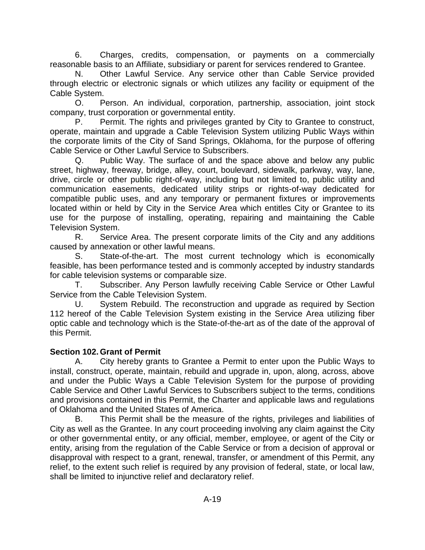6. Charges, credits, compensation, or payments on a commercially reasonable basis to an Affiliate, subsidiary or parent for services rendered to Grantee.

N. Other Lawful Service. Any service other than Cable Service provided through electric or electronic signals or which utilizes any facility or equipment of the Cable System.

O. Person. An individual, corporation, partnership, association, joint stock company, trust corporation or governmental entity.

P. Permit. The rights and privileges granted by City to Grantee to construct, operate, maintain and upgrade a Cable Television System utilizing Public Ways within the corporate limits of the City of Sand Springs, Oklahoma, for the purpose of offering Cable Service or Other Lawful Service to Subscribers.

Q. Public Way. The surface of and the space above and below any public street, highway, freeway, bridge, alley, court, boulevard, sidewalk, parkway, way, lane, drive, circle or other public right-of-way, including but not limited to, public utility and communication easements, dedicated utility strips or rights-of-way dedicated for compatible public uses, and any temporary or permanent fixtures or improvements located within or held by City in the Service Area which entitles City or Grantee to its use for the purpose of installing, operating, repairing and maintaining the Cable Television System.

R. Service Area. The present corporate limits of the City and any additions caused by annexation or other lawful means.

S. State-of-the-art. The most current technology which is economically feasible, has been performance tested and is commonly accepted by industry standards for cable television systems or comparable size.

T. Subscriber. Any Person lawfully receiving Cable Service or Other Lawful Service from the Cable Television System.

U. System Rebuild. The reconstruction and upgrade as required by Section 112 hereof of the Cable Television System existing in the Service Area utilizing fiber optic cable and technology which is the State-of-the-art as of the date of the approval of this Permit.

# **Section 102. Grant of Permit**

A. City hereby grants to Grantee a Permit to enter upon the Public Ways to install, construct, operate, maintain, rebuild and upgrade in, upon, along, across, above and under the Public Ways a Cable Television System for the purpose of providing Cable Service and Other Lawful Services to Subscribers subject to the terms, conditions and provisions contained in this Permit, the Charter and applicable laws and regulations of Oklahoma and the United States of America.

B. This Permit shall be the measure of the rights, privileges and liabilities of City as well as the Grantee. In any court proceeding involving any claim against the City or other governmental entity, or any official, member, employee, or agent of the City or entity, arising from the regulation of the Cable Service or from a decision of approval or disapproval with respect to a grant, renewal, transfer, or amendment of this Permit, any relief, to the extent such relief is required by any provision of federal, state, or local law, shall be limited to injunctive relief and declaratory relief.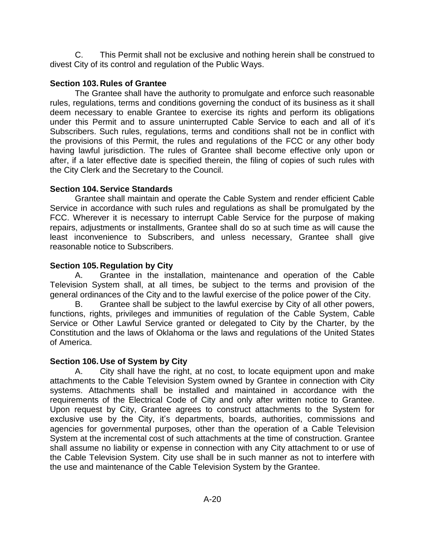C. This Permit shall not be exclusive and nothing herein shall be construed to divest City of its control and regulation of the Public Ways.

# **Section 103. Rules of Grantee**

The Grantee shall have the authority to promulgate and enforce such reasonable rules, regulations, terms and conditions governing the conduct of its business as it shall deem necessary to enable Grantee to exercise its rights and perform its obligations under this Permit and to assure uninterrupted Cable Service to each and all of it's Subscribers. Such rules, regulations, terms and conditions shall not be in conflict with the provisions of this Permit, the rules and regulations of the FCC or any other body having lawful jurisdiction. The rules of Grantee shall become effective only upon or after, if a later effective date is specified therein, the filing of copies of such rules with the City Clerk and the Secretary to the Council.

# **Section 104.Service Standards**

Grantee shall maintain and operate the Cable System and render efficient Cable Service in accordance with such rules and regulations as shall be promulgated by the FCC. Wherever it is necessary to interrupt Cable Service for the purpose of making repairs, adjustments or installments, Grantee shall do so at such time as will cause the least inconvenience to Subscribers, and unless necessary, Grantee shall give reasonable notice to Subscribers.

# **Section 105. Regulation by City**

A. Grantee in the installation, maintenance and operation of the Cable Television System shall, at all times, be subject to the terms and provision of the general ordinances of the City and to the lawful exercise of the police power of the City.

B. Grantee shall be subject to the lawful exercise by City of all other powers, functions, rights, privileges and immunities of regulation of the Cable System, Cable Service or Other Lawful Service granted or delegated to City by the Charter, by the Constitution and the laws of Oklahoma or the laws and regulations of the United States of America.

# **Section 106. Use of System by City**

A. City shall have the right, at no cost, to locate equipment upon and make attachments to the Cable Television System owned by Grantee in connection with City systems. Attachments shall be installed and maintained in accordance with the requirements of the Electrical Code of City and only after written notice to Grantee. Upon request by City, Grantee agrees to construct attachments to the System for exclusive use by the City, it's departments, boards, authorities, commissions and agencies for governmental purposes, other than the operation of a Cable Television System at the incremental cost of such attachments at the time of construction. Grantee shall assume no liability or expense in connection with any City attachment to or use of the Cable Television System. City use shall be in such manner as not to interfere with the use and maintenance of the Cable Television System by the Grantee.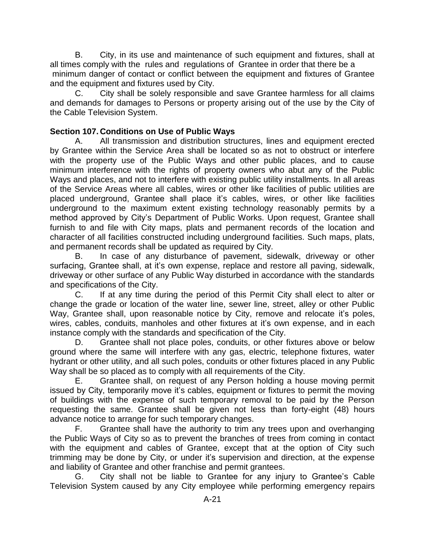B. City, in its use and maintenance of such equipment and fixtures, shall at all times comply with the rules and regulations of Grantee in order that there be a minimum danger of contact or conflict between the equipment and fixtures of Grantee and the equipment and fixtures used by City.

C. City shall be solely responsible and save Grantee harmless for all claims and demands for damages to Persons or property arising out of the use by the City of the Cable Television System.

## **Section 107. Conditions on Use of Public Ways**

All transmission and distribution structures, lines and equipment erected by Grantee within the Service Area shall be located so as not to obstruct or interfere with the property use of the Public Ways and other public places, and to cause minimum interference with the rights of property owners who abut any of the Public Ways and places, and not to interfere with existing public utility installments. In all areas of the Service Areas where all cables, wires or other like facilities of public utilities are placed underground, Grantee shall place it's cables, wires, or other like facilities underground to the maximum extent existing technology reasonably permits by a method approved by City's Department of Public Works. Upon request, Grantee shall furnish to and file with City maps, plats and permanent records of the location and character of all facilities constructed including underground facilities. Such maps, plats, and permanent records shall be updated as required by City.

B. In case of any disturbance of pavement, sidewalk, driveway or other surfacing, Grantee shall, at it's own expense, replace and restore all paving, sidewalk, driveway or other surface of any Public Way disturbed in accordance with the standards and specifications of the City.

C. If at any time during the period of this Permit City shall elect to alter or change the grade or location of the water line, sewer line, street, alley or other Public Way, Grantee shall, upon reasonable notice by City, remove and relocate it's poles, wires, cables, conduits, manholes and other fixtures at it's own expense, and in each instance comply with the standards and specification of the City.

D. Grantee shall not place poles, conduits, or other fixtures above or below ground where the same will interfere with any gas, electric, telephone fixtures, water hydrant or other utility, and all such poles, conduits or other fixtures placed in any Public Way shall be so placed as to comply with all requirements of the City.

E. Grantee shall, on request of any Person holding a house moving permit issued by City, temporarily move it's cables, equipment or fixtures to permit the moving of buildings with the expense of such temporary removal to be paid by the Person requesting the same. Grantee shall be given not less than forty-eight (48) hours advance notice to arrange for such temporary changes.

F. Grantee shall have the authority to trim any trees upon and overhanging the Public Ways of City so as to prevent the branches of trees from coming in contact with the equipment and cables of Grantee, except that at the option of City such trimming may be done by City, or under it's supervision and direction, at the expense and liability of Grantee and other franchise and permit grantees.

G. City shall not be liable to Grantee for any injury to Grantee's Cable Television System caused by any City employee while performing emergency repairs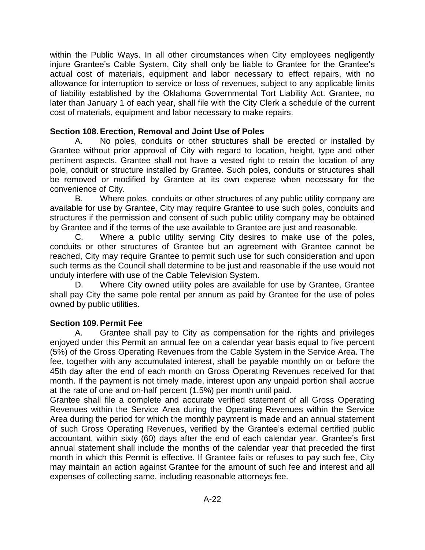within the Public Ways. In all other circumstances when City employees negligently injure Grantee's Cable System, City shall only be liable to Grantee for the Grantee's actual cost of materials, equipment and labor necessary to effect repairs, with no allowance for interruption to service or loss of revenues, subject to any applicable limits of liability established by the Oklahoma Governmental Tort Liability Act. Grantee, no later than January 1 of each year, shall file with the City Clerk a schedule of the current cost of materials, equipment and labor necessary to make repairs.

## **Section 108.Erection, Removal and Joint Use of Poles**

A. No poles, conduits or other structures shall be erected or installed by Grantee without prior approval of City with regard to location, height, type and other pertinent aspects. Grantee shall not have a vested right to retain the location of any pole, conduit or structure installed by Grantee. Such poles, conduits or structures shall be removed or modified by Grantee at its own expense when necessary for the convenience of City.

B. Where poles, conduits or other structures of any public utility company are available for use by Grantee, City may require Grantee to use such poles, conduits and structures if the permission and consent of such public utility company may be obtained by Grantee and if the terms of the use available to Grantee are just and reasonable.

C. Where a public utility serving City desires to make use of the poles, conduits or other structures of Grantee but an agreement with Grantee cannot be reached, City may require Grantee to permit such use for such consideration and upon such terms as the Council shall determine to be just and reasonable if the use would not unduly interfere with use of the Cable Television System.

D. Where City owned utility poles are available for use by Grantee, Grantee shall pay City the same pole rental per annum as paid by Grantee for the use of poles owned by public utilities.

#### **Section 109.Permit Fee**

A. Grantee shall pay to City as compensation for the rights and privileges enjoyed under this Permit an annual fee on a calendar year basis equal to five percent (5%) of the Gross Operating Revenues from the Cable System in the Service Area. The fee, together with any accumulated interest, shall be payable monthly on or before the 45th day after the end of each month on Gross Operating Revenues received for that month. If the payment is not timely made, interest upon any unpaid portion shall accrue at the rate of one and on-half percent (1.5%) per month until paid.

Grantee shall file a complete and accurate verified statement of all Gross Operating Revenues within the Service Area during the Operating Revenues within the Service Area during the period for which the monthly payment is made and an annual statement of such Gross Operating Revenues, verified by the Grantee's external certified public accountant, within sixty (60) days after the end of each calendar year. Grantee's first annual statement shall include the months of the calendar year that preceded the first month in which this Permit is effective. If Grantee fails or refuses to pay such fee, City may maintain an action against Grantee for the amount of such fee and interest and all expenses of collecting same, including reasonable attorneys fee.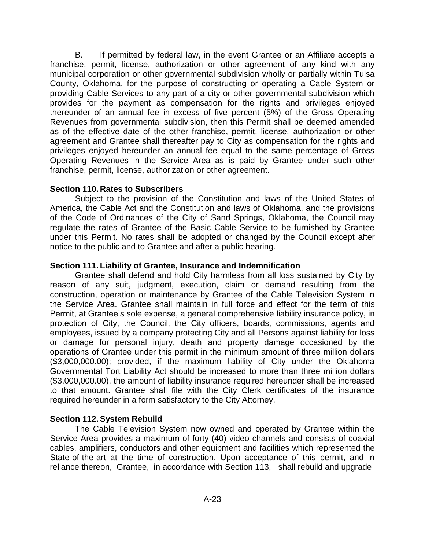B. If permitted by federal law, in the event Grantee or an Affiliate accepts a franchise, permit, license, authorization or other agreement of any kind with any municipal corporation or other governmental subdivision wholly or partially within Tulsa County, Oklahoma, for the purpose of constructing or operating a Cable System or providing Cable Services to any part of a city or other governmental subdivision which provides for the payment as compensation for the rights and privileges enjoyed thereunder of an annual fee in excess of five percent (5%) of the Gross Operating Revenues from governmental subdivision, then this Permit shall be deemed amended as of the effective date of the other franchise, permit, license, authorization or other agreement and Grantee shall thereafter pay to City as compensation for the rights and privileges enjoyed hereunder an annual fee equal to the same percentage of Gross Operating Revenues in the Service Area as is paid by Grantee under such other franchise, permit, license, authorization or other agreement.

#### **Section 110. Rates to Subscribers**

Subject to the provision of the Constitution and laws of the United States of America, the Cable Act and the Constitution and laws of Oklahoma, and the provisions of the Code of Ordinances of the City of Sand Springs, Oklahoma, the Council may regulate the rates of Grantee of the Basic Cable Service to be furnished by Grantee under this Permit. No rates shall be adopted or changed by the Council except after notice to the public and to Grantee and after a public hearing.

#### **Section 111. Liability of Grantee, Insurance and Indemnification**

Grantee shall defend and hold City harmless from all loss sustained by City by reason of any suit, judgment, execution, claim or demand resulting from the construction, operation or maintenance by Grantee of the Cable Television System in the Service Area. Grantee shall maintain in full force and effect for the term of this Permit, at Grantee's sole expense, a general comprehensive liability insurance policy, in protection of City, the Council, the City officers, boards, commissions, agents and employees, issued by a company protecting City and all Persons against liability for loss or damage for personal injury, death and property damage occasioned by the operations of Grantee under this permit in the minimum amount of three million dollars (\$3,000,000.00); provided, if the maximum liability of City under the Oklahoma Governmental Tort Liability Act should be increased to more than three million dollars (\$3,000,000.00), the amount of liability insurance required hereunder shall be increased to that amount. Grantee shall file with the City Clerk certificates of the insurance required hereunder in a form satisfactory to the City Attorney.

#### **Section 112.System Rebuild**

The Cable Television System now owned and operated by Grantee within the Service Area provides a maximum of forty (40) video channels and consists of coaxial cables, amplifiers, conductors and other equipment and facilities which represented the State-of-the-art at the time of construction. Upon acceptance of this permit, and in reliance thereon, Grantee, in accordance with Section 113, shall rebuild and upgrade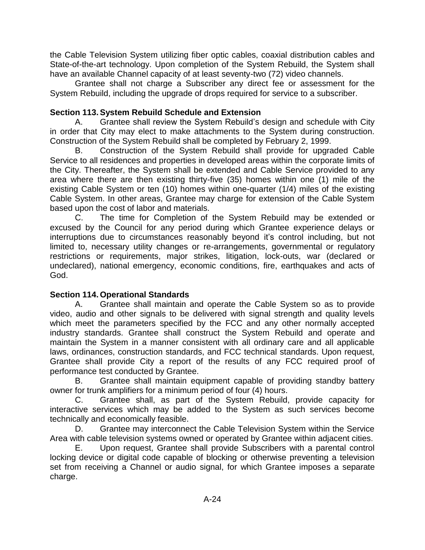the Cable Television System utilizing fiber optic cables, coaxial distribution cables and State-of-the-art technology. Upon completion of the System Rebuild, the System shall have an available Channel capacity of at least seventy-two (72) video channels.

Grantee shall not charge a Subscriber any direct fee or assessment for the System Rebuild, including the upgrade of drops required for service to a subscriber.

# **Section 113.System Rebuild Schedule and Extension**

A. Grantee shall review the System Rebuild's design and schedule with City in order that City may elect to make attachments to the System during construction. Construction of the System Rebuild shall be completed by February 2, 1999.

B. Construction of the System Rebuild shall provide for upgraded Cable Service to all residences and properties in developed areas within the corporate limits of the City. Thereafter, the System shall be extended and Cable Service provided to any area where there are then existing thirty-five (35) homes within one (1) mile of the existing Cable System or ten (10) homes within one-quarter (1/4) miles of the existing Cable System. In other areas, Grantee may charge for extension of the Cable System based upon the cost of labor and materials.

C. The time for Completion of the System Rebuild may be extended or excused by the Council for any period during which Grantee experience delays or interruptions due to circumstances reasonably beyond it's control including, but not limited to, necessary utility changes or re-arrangements, governmental or regulatory restrictions or requirements, major strikes, litigation, lock-outs, war (declared or undeclared), national emergency, economic conditions, fire, earthquakes and acts of God.

# **Section 114. Operational Standards**

A. Grantee shall maintain and operate the Cable System so as to provide video, audio and other signals to be delivered with signal strength and quality levels which meet the parameters specified by the FCC and any other normally accepted industry standards. Grantee shall construct the System Rebuild and operate and maintain the System in a manner consistent with all ordinary care and all applicable laws, ordinances, construction standards, and FCC technical standards. Upon request, Grantee shall provide City a report of the results of any FCC required proof of performance test conducted by Grantee.

B. Grantee shall maintain equipment capable of providing standby battery owner for trunk amplifiers for a minimum period of four (4) hours.

C. Grantee shall, as part of the System Rebuild, provide capacity for interactive services which may be added to the System as such services become technically and economically feasible.

D. Grantee may interconnect the Cable Television System within the Service Area with cable television systems owned or operated by Grantee within adjacent cities.

E. Upon request, Grantee shall provide Subscribers with a parental control locking device or digital code capable of blocking or otherwise preventing a television set from receiving a Channel or audio signal, for which Grantee imposes a separate charge.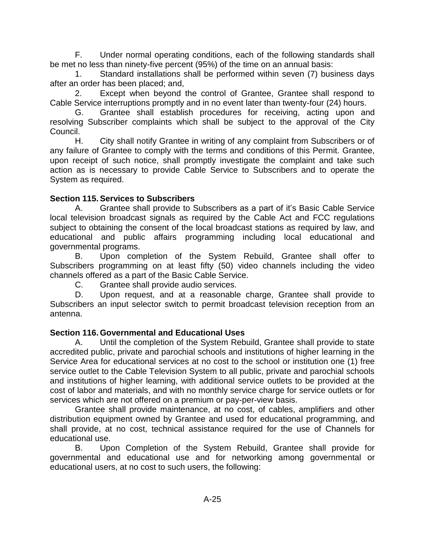F. Under normal operating conditions, each of the following standards shall be met no less than ninety-five percent (95%) of the time on an annual basis:

1. Standard installations shall be performed within seven (7) business days after an order has been placed; and,

2. Except when beyond the control of Grantee, Grantee shall respond to Cable Service interruptions promptly and in no event later than twenty-four (24) hours.

G. Grantee shall establish procedures for receiving, acting upon and resolving Subscriber complaints which shall be subject to the approval of the City Council.

H. City shall notify Grantee in writing of any complaint from Subscribers or of any failure of Grantee to comply with the terms and conditions of this Permit. Grantee, upon receipt of such notice, shall promptly investigate the complaint and take such action as is necessary to provide Cable Service to Subscribers and to operate the System as required.

# **Section 115.Services to Subscribers**

A. Grantee shall provide to Subscribers as a part of it's Basic Cable Service local television broadcast signals as required by the Cable Act and FCC regulations subject to obtaining the consent of the local broadcast stations as required by law, and educational and public affairs programming including local educational and governmental programs.

B. Upon completion of the System Rebuild, Grantee shall offer to Subscribers programming on at least fifty (50) video channels including the video channels offered as a part of the Basic Cable Service.

C. Grantee shall provide audio services.

D. Upon request, and at a reasonable charge, Grantee shall provide to Subscribers an input selector switch to permit broadcast television reception from an antenna.

#### **Section 116. Governmental and Educational Uses**

A. Until the completion of the System Rebuild, Grantee shall provide to state accredited public, private and parochial schools and institutions of higher learning in the Service Area for educational services at no cost to the school or institution one (1) free service outlet to the Cable Television System to all public, private and parochial schools and institutions of higher learning, with additional service outlets to be provided at the cost of labor and materials, and with no monthly service charge for service outlets or for services which are not offered on a premium or pay-per-view basis.

Grantee shall provide maintenance, at no cost, of cables, amplifiers and other distribution equipment owned by Grantee and used for educational programming, and shall provide, at no cost, technical assistance required for the use of Channels for educational use.

B. Upon Completion of the System Rebuild, Grantee shall provide for governmental and educational use and for networking among governmental or educational users, at no cost to such users, the following: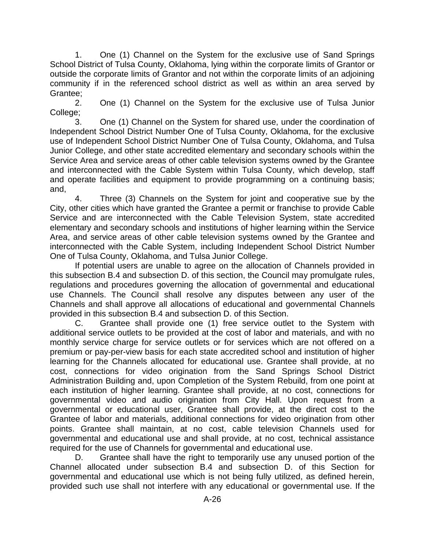1. One (1) Channel on the System for the exclusive use of Sand Springs School District of Tulsa County, Oklahoma, lying within the corporate limits of Grantor or outside the corporate limits of Grantor and not within the corporate limits of an adjoining community if in the referenced school district as well as within an area served by Grantee;

2. One (1) Channel on the System for the exclusive use of Tulsa Junior College;

3. One (1) Channel on the System for shared use, under the coordination of Independent School District Number One of Tulsa County, Oklahoma, for the exclusive use of Independent School District Number One of Tulsa County, Oklahoma, and Tulsa Junior College, and other state accredited elementary and secondary schools within the Service Area and service areas of other cable television systems owned by the Grantee and interconnected with the Cable System within Tulsa County, which develop, staff and operate facilities and equipment to provide programming on a continuing basis; and,

4. Three (3) Channels on the System for joint and cooperative sue by the City, other cities which have granted the Grantee a permit or franchise to provide Cable Service and are interconnected with the Cable Television System, state accredited elementary and secondary schools and institutions of higher learning within the Service Area, and service areas of other cable television systems owned by the Grantee and interconnected with the Cable System, including Independent School District Number One of Tulsa County, Oklahoma, and Tulsa Junior College.

If potential users are unable to agree on the allocation of Channels provided in this subsection B.4 and subsection D. of this section, the Council may promulgate rules, regulations and procedures governing the allocation of governmental and educational use Channels. The Council shall resolve any disputes between any user of the Channels and shall approve all allocations of educational and governmental Channels provided in this subsection B.4 and subsection D. of this Section.

C. Grantee shall provide one (1) free service outlet to the System with additional service outlets to be provided at the cost of labor and materials, and with no monthly service charge for service outlets or for services which are not offered on a premium or pay-per-view basis for each state accredited school and institution of higher learning for the Channels allocated for educational use. Grantee shall provide, at no cost, connections for video origination from the Sand Springs School District Administration Building and, upon Completion of the System Rebuild, from one point at each institution of higher learning. Grantee shall provide, at no cost, connections for governmental video and audio origination from City Hall. Upon request from a governmental or educational user, Grantee shall provide, at the direct cost to the Grantee of labor and materials, additional connections for video origination from other points. Grantee shall maintain, at no cost, cable television Channels used for governmental and educational use and shall provide, at no cost, technical assistance required for the use of Channels for governmental and educational use.

D. Grantee shall have the right to temporarily use any unused portion of the Channel allocated under subsection B.4 and subsection D. of this Section for governmental and educational use which is not being fully utilized, as defined herein, provided such use shall not interfere with any educational or governmental use. If the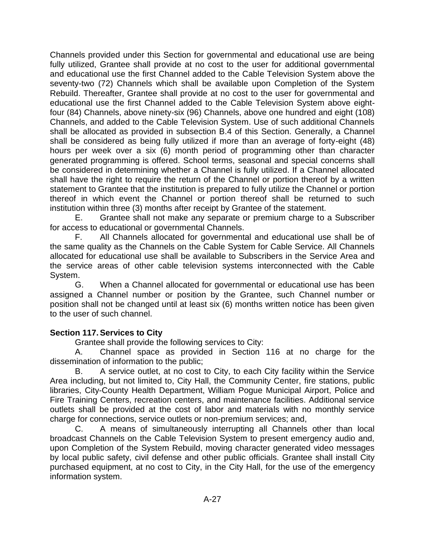Channels provided under this Section for governmental and educational use are being fully utilized, Grantee shall provide at no cost to the user for additional governmental and educational use the first Channel added to the Cable Television System above the seventy-two (72) Channels which shall be available upon Completion of the System Rebuild. Thereafter, Grantee shall provide at no cost to the user for governmental and educational use the first Channel added to the Cable Television System above eightfour (84) Channels, above ninety-six (96) Channels, above one hundred and eight (108) Channels, and added to the Cable Television System. Use of such additional Channels shall be allocated as provided in subsection B.4 of this Section. Generally, a Channel shall be considered as being fully utilized if more than an average of forty-eight (48) hours per week over a six (6) month period of programming other than character generated programming is offered. School terms, seasonal and special concerns shall be considered in determining whether a Channel is fully utilized. If a Channel allocated shall have the right to require the return of the Channel or portion thereof by a written statement to Grantee that the institution is prepared to fully utilize the Channel or portion thereof in which event the Channel or portion thereof shall be returned to such institution within three (3) months after receipt by Grantee of the statement.

E. Grantee shall not make any separate or premium charge to a Subscriber for access to educational or governmental Channels.

F. All Channels allocated for governmental and educational use shall be of the same quality as the Channels on the Cable System for Cable Service. All Channels allocated for educational use shall be available to Subscribers in the Service Area and the service areas of other cable television systems interconnected with the Cable System.

G. When a Channel allocated for governmental or educational use has been assigned a Channel number or position by the Grantee, such Channel number or position shall not be changed until at least six (6) months written notice has been given to the user of such channel.

# **Section 117.Services to City**

Grantee shall provide the following services to City:

A. Channel space as provided in Section 116 at no charge for the dissemination of information to the public;

B. A service outlet, at no cost to City, to each City facility within the Service Area including, but not limited to, City Hall, the Community Center, fire stations, public libraries, City-County Health Department, William Pogue Municipal Airport, Police and Fire Training Centers, recreation centers, and maintenance facilities. Additional service outlets shall be provided at the cost of labor and materials with no monthly service charge for connections, service outlets or non-premium services; and,

C. A means of simultaneously interrupting all Channels other than local broadcast Channels on the Cable Television System to present emergency audio and, upon Completion of the System Rebuild, moving character generated video messages by local public safety, civil defense and other public officials. Grantee shall install City purchased equipment, at no cost to City, in the City Hall, for the use of the emergency information system.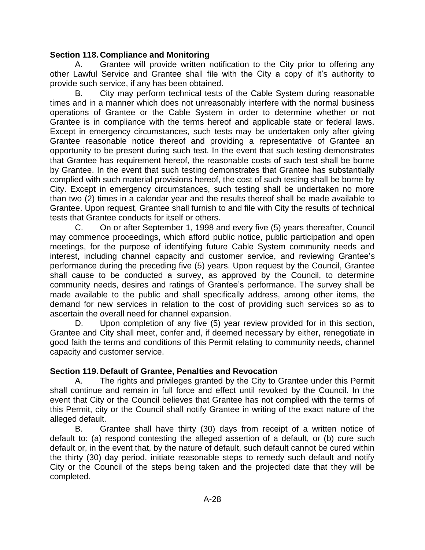#### **Section 118. Compliance and Monitoring**

A. Grantee will provide written notification to the City prior to offering any other Lawful Service and Grantee shall file with the City a copy of it's authority to provide such service, if any has been obtained.

B. City may perform technical tests of the Cable System during reasonable times and in a manner which does not unreasonably interfere with the normal business operations of Grantee or the Cable System in order to determine whether or not Grantee is in compliance with the terms hereof and applicable state or federal laws. Except in emergency circumstances, such tests may be undertaken only after giving Grantee reasonable notice thereof and providing a representative of Grantee an opportunity to be present during such test. In the event that such testing demonstrates that Grantee has requirement hereof, the reasonable costs of such test shall be borne by Grantee. In the event that such testing demonstrates that Grantee has substantially complied with such material provisions hereof, the cost of such testing shall be borne by City. Except in emergency circumstances, such testing shall be undertaken no more than two (2) times in a calendar year and the results thereof shall be made available to Grantee. Upon request, Grantee shall furnish to and file with City the results of technical tests that Grantee conducts for itself or others.

C. On or after September 1, 1998 and every five (5) years thereafter, Council may commence proceedings, which afford public notice, public participation and open meetings, for the purpose of identifying future Cable System community needs and interest, including channel capacity and customer service, and reviewing Grantee's performance during the preceding five (5) years. Upon request by the Council, Grantee shall cause to be conducted a survey, as approved by the Council, to determine community needs, desires and ratings of Grantee's performance. The survey shall be made available to the public and shall specifically address, among other items, the demand for new services in relation to the cost of providing such services so as to ascertain the overall need for channel expansion.

D. Upon completion of any five (5) year review provided for in this section, Grantee and City shall meet, confer and, if deemed necessary by either, renegotiate in good faith the terms and conditions of this Permit relating to community needs, channel capacity and customer service.

#### **Section 119. Default of Grantee, Penalties and Revocation**

A. The rights and privileges granted by the City to Grantee under this Permit shall continue and remain in full force and effect until revoked by the Council. In the event that City or the Council believes that Grantee has not complied with the terms of this Permit, city or the Council shall notify Grantee in writing of the exact nature of the alleged default.

B. Grantee shall have thirty (30) days from receipt of a written notice of default to: (a) respond contesting the alleged assertion of a default, or (b) cure such default or, in the event that, by the nature of default, such default cannot be cured within the thirty (30) day period, initiate reasonable steps to remedy such default and notify City or the Council of the steps being taken and the projected date that they will be completed.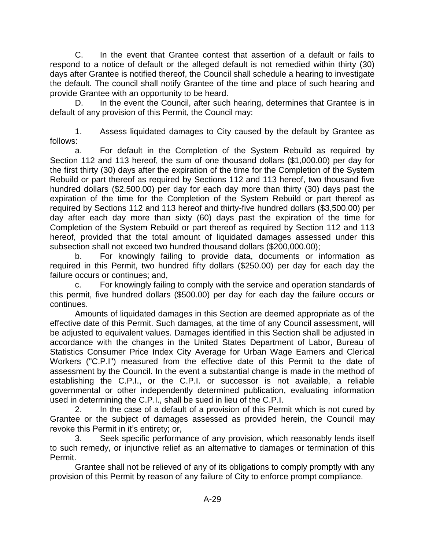C. In the event that Grantee contest that assertion of a default or fails to respond to a notice of default or the alleged default is not remedied within thirty (30) days after Grantee is notified thereof, the Council shall schedule a hearing to investigate the default. The council shall notify Grantee of the time and place of such hearing and provide Grantee with an opportunity to be heard.

D. In the event the Council, after such hearing, determines that Grantee is in default of any provision of this Permit, the Council may:

1. Assess liquidated damages to City caused by the default by Grantee as follows:

a. For default in the Completion of the System Rebuild as required by Section 112 and 113 hereof, the sum of one thousand dollars (\$1,000.00) per day for the first thirty (30) days after the expiration of the time for the Completion of the System Rebuild or part thereof as required by Sections 112 and 113 hereof, two thousand five hundred dollars (\$2,500.00) per day for each day more than thirty (30) days past the expiration of the time for the Completion of the System Rebuild or part thereof as required by Sections 112 and 113 hereof and thirty-five hundred dollars (\$3,500.00) per day after each day more than sixty (60) days past the expiration of the time for Completion of the System Rebuild or part thereof as required by Section 112 and 113 hereof, provided that the total amount of liquidated damages assessed under this subsection shall not exceed two hundred thousand dollars (\$200,000.00);

b. For knowingly failing to provide data, documents or information as required in this Permit, two hundred fifty dollars (\$250.00) per day for each day the failure occurs or continues; and,

c. For knowingly failing to comply with the service and operation standards of this permit, five hundred dollars (\$500.00) per day for each day the failure occurs or continues.

Amounts of liquidated damages in this Section are deemed appropriate as of the effective date of this Permit. Such damages, at the time of any Council assessment, will be adjusted to equivalent values. Damages identified in this Section shall be adjusted in accordance with the changes in the United States Department of Labor, Bureau of Statistics Consumer Price Index City Average for Urban Wage Earners and Clerical Workers ("C.P.I") measured from the effective date of this Permit to the date of assessment by the Council. In the event a substantial change is made in the method of establishing the C.P.I., or the C.P.I. or successor is not available, a reliable governmental or other independently determined publication, evaluating information used in determining the C.P.I., shall be sued in lieu of the C.P.I.

2. In the case of a default of a provision of this Permit which is not cured by Grantee or the subject of damages assessed as provided herein, the Council may revoke this Permit in it's entirety; or,

3. Seek specific performance of any provision, which reasonably lends itself to such remedy, or injunctive relief as an alternative to damages or termination of this Permit.

Grantee shall not be relieved of any of its obligations to comply promptly with any provision of this Permit by reason of any failure of City to enforce prompt compliance.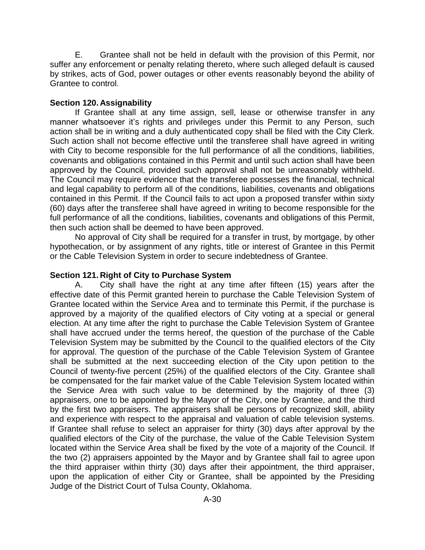E. Grantee shall not be held in default with the provision of this Permit, nor suffer any enforcement or penalty relating thereto, where such alleged default is caused by strikes, acts of God, power outages or other events reasonably beyond the ability of Grantee to control.

#### **Section 120. Assignability**

If Grantee shall at any time assign, sell, lease or otherwise transfer in any manner whatsoever it's rights and privileges under this Permit to any Person, such action shall be in writing and a duly authenticated copy shall be filed with the City Clerk. Such action shall not become effective until the transferee shall have agreed in writing with City to become responsible for the full performance of all the conditions, liabilities, covenants and obligations contained in this Permit and until such action shall have been approved by the Council, provided such approval shall not be unreasonably withheld. The Council may require evidence that the transferee possesses the financial, technical and legal capability to perform all of the conditions, liabilities, covenants and obligations contained in this Permit. If the Council fails to act upon a proposed transfer within sixty (60) days after the transferee shall have agreed in writing to become responsible for the full performance of all the conditions, liabilities, covenants and obligations of this Permit, then such action shall be deemed to have been approved.

No approval of City shall be required for a transfer in trust, by mortgage, by other hypothecation, or by assignment of any rights, title or interest of Grantee in this Permit or the Cable Television System in order to secure indebtedness of Grantee.

#### **Section 121. Right of City to Purchase System**

A. City shall have the right at any time after fifteen (15) years after the effective date of this Permit granted herein to purchase the Cable Television System of Grantee located within the Service Area and to terminate this Permit, if the purchase is approved by a majority of the qualified electors of City voting at a special or general election. At any time after the right to purchase the Cable Television System of Grantee shall have accrued under the terms hereof, the question of the purchase of the Cable Television System may be submitted by the Council to the qualified electors of the City for approval. The question of the purchase of the Cable Television System of Grantee shall be submitted at the next succeeding election of the City upon petition to the Council of twenty-five percent (25%) of the qualified electors of the City. Grantee shall be compensated for the fair market value of the Cable Television System located within the Service Area with such value to be determined by the majority of three (3) appraisers, one to be appointed by the Mayor of the City, one by Grantee, and the third by the first two appraisers. The appraisers shall be persons of recognized skill, ability and experience with respect to the appraisal and valuation of cable television systems. If Grantee shall refuse to select an appraiser for thirty (30) days after approval by the qualified electors of the City of the purchase, the value of the Cable Television System located within the Service Area shall be fixed by the vote of a majority of the Council. If the two (2) appraisers appointed by the Mayor and by Grantee shall fail to agree upon the third appraiser within thirty (30) days after their appointment, the third appraiser, upon the application of either City or Grantee, shall be appointed by the Presiding Judge of the District Court of Tulsa County, Oklahoma.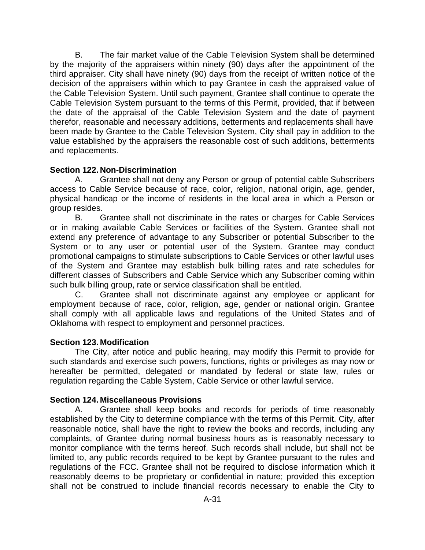B. The fair market value of the Cable Television System shall be determined by the majority of the appraisers within ninety (90) days after the appointment of the third appraiser. City shall have ninety (90) days from the receipt of written notice of the decision of the appraisers within which to pay Grantee in cash the appraised value of the Cable Television System. Until such payment, Grantee shall continue to operate the Cable Television System pursuant to the terms of this Permit, provided, that if between the date of the appraisal of the Cable Television System and the date of payment therefor, reasonable and necessary additions, betterments and replacements shall have been made by Grantee to the Cable Television System, City shall pay in addition to the value established by the appraisers the reasonable cost of such additions, betterments and replacements.

## **Section 122. Non-Discrimination**

A. Grantee shall not deny any Person or group of potential cable Subscribers access to Cable Service because of race, color, religion, national origin, age, gender, physical handicap or the income of residents in the local area in which a Person or group resides.

B. Grantee shall not discriminate in the rates or charges for Cable Services or in making available Cable Services or facilities of the System. Grantee shall not extend any preference of advantage to any Subscriber or potential Subscriber to the System or to any user or potential user of the System. Grantee may conduct promotional campaigns to stimulate subscriptions to Cable Services or other lawful uses of the System and Grantee may establish bulk billing rates and rate schedules for different classes of Subscribers and Cable Service which any Subscriber coming within such bulk billing group, rate or service classification shall be entitled.

C. Grantee shall not discriminate against any employee or applicant for employment because of race, color, religion, age, gender or national origin. Grantee shall comply with all applicable laws and regulations of the United States and of Oklahoma with respect to employment and personnel practices.

#### **Section 123. Modification**

The City, after notice and public hearing, may modify this Permit to provide for such standards and exercise such powers, functions, rights or privileges as may now or hereafter be permitted, delegated or mandated by federal or state law, rules or regulation regarding the Cable System, Cable Service or other lawful service.

#### **Section 124. Miscellaneous Provisions**

A. Grantee shall keep books and records for periods of time reasonably established by the City to determine compliance with the terms of this Permit. City, after reasonable notice, shall have the right to review the books and records, including any complaints, of Grantee during normal business hours as is reasonably necessary to monitor compliance with the terms hereof. Such records shall include, but shall not be limited to, any public records required to be kept by Grantee pursuant to the rules and regulations of the FCC. Grantee shall not be required to disclose information which it reasonably deems to be proprietary or confidential in nature; provided this exception shall not be construed to include financial records necessary to enable the City to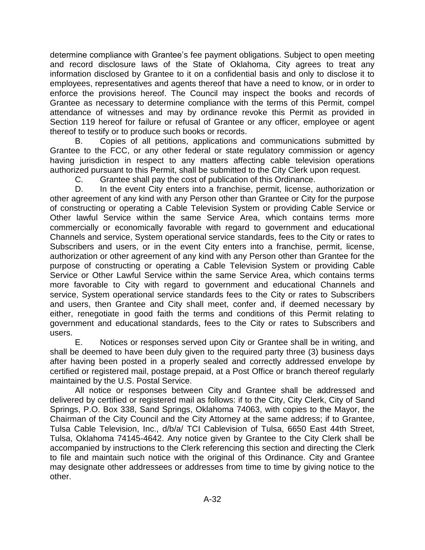determine compliance with Grantee's fee payment obligations. Subject to open meeting and record disclosure laws of the State of Oklahoma, City agrees to treat any information disclosed by Grantee to it on a confidential basis and only to disclose it to employees, representatives and agents thereof that have a need to know, or in order to enforce the provisions hereof. The Council may inspect the books and records of Grantee as necessary to determine compliance with the terms of this Permit, compel attendance of witnesses and may by ordinance revoke this Permit as provided in Section 119 hereof for failure or refusal of Grantee or any officer, employee or agent thereof to testify or to produce such books or records.

B. Copies of all petitions, applications and communications submitted by Grantee to the FCC, or any other federal or state regulatory commission or agency having jurisdiction in respect to any matters affecting cable television operations authorized pursuant to this Permit, shall be submitted to the City Clerk upon request.

C. Grantee shall pay the cost of publication of this Ordinance.

D. In the event City enters into a franchise, permit, license, authorization or other agreement of any kind with any Person other than Grantee or City for the purpose of constructing or operating a Cable Television System or providing Cable Service or Other lawful Service within the same Service Area, which contains terms more commercially or economically favorable with regard to government and educational Channels and service, System operational service standards, fees to the City or rates to Subscribers and users, or in the event City enters into a franchise, permit, license, authorization or other agreement of any kind with any Person other than Grantee for the purpose of constructing or operating a Cable Television System or providing Cable Service or Other Lawful Service within the same Service Area, which contains terms more favorable to City with regard to government and educational Channels and service, System operational service standards fees to the City or rates to Subscribers and users, then Grantee and City shall meet, confer and, if deemed necessary by either, renegotiate in good faith the terms and conditions of this Permit relating to government and educational standards, fees to the City or rates to Subscribers and users.

E. Notices or responses served upon City or Grantee shall be in writing, and shall be deemed to have been duly given to the required party three (3) business days after having been posted in a properly sealed and correctly addressed envelope by certified or registered mail, postage prepaid, at a Post Office or branch thereof regularly maintained by the U.S. Postal Service.

All notice or responses between City and Grantee shall be addressed and delivered by certified or registered mail as follows: if to the City, City Clerk, City of Sand Springs, P.O. Box 338, Sand Springs, Oklahoma 74063, with copies to the Mayor, the Chairman of the City Council and the City Attorney at the same address; if to Grantee, Tulsa Cable Television, Inc., d/b/a/ TCI Cablevision of Tulsa, 6650 East 44th Street, Tulsa, Oklahoma 74145-4642. Any notice given by Grantee to the City Clerk shall be accompanied by instructions to the Clerk referencing this section and directing the Clerk to file and maintain such notice with the original of this Ordinance. City and Grantee may designate other addressees or addresses from time to time by giving notice to the other.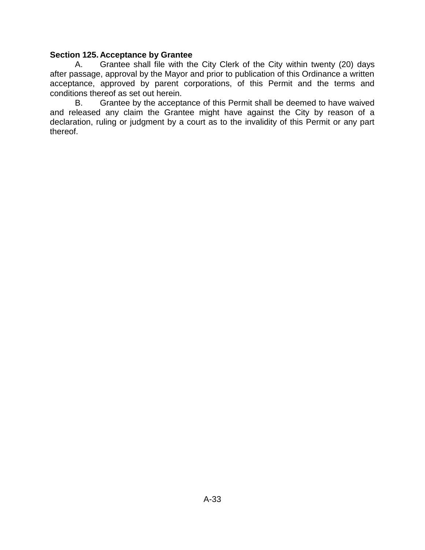#### **Section 125. Acceptance by Grantee**

A. Grantee shall file with the City Clerk of the City within twenty (20) days after passage, approval by the Mayor and prior to publication of this Ordinance a written acceptance, approved by parent corporations, of this Permit and the terms and conditions thereof as set out herein.

B. Grantee by the acceptance of this Permit shall be deemed to have waived and released any claim the Grantee might have against the City by reason of a declaration, ruling or judgment by a court as to the invalidity of this Permit or any part thereof.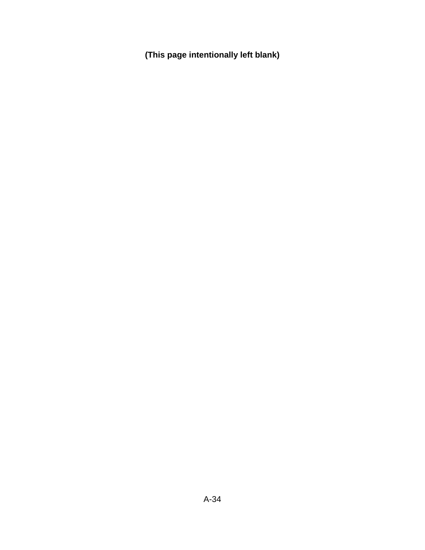**(This page intentionally left blank)**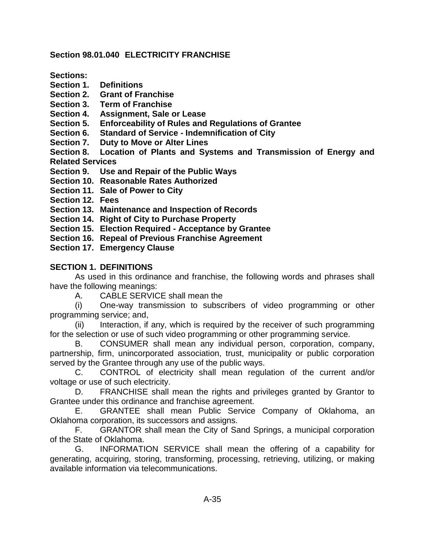# **Section 98.01.040 ELECTRICITY FRANCHISE**

**Sections:**

- **Section 1. Definitions**
- **Section 2. Grant of Franchise**
- **Section 3. Term of Franchise**
- **Section 4. Assignment, Sale or Lease**
- **Section 5. Enforceability of Rules and Regulations of Grantee**
- **Section 6. Standard of Service - Indemnification of City**
- **Duty to Move or Alter Lines**
- **Section 8. Location of Plants and Systems and Transmission of Energy and Related Services**
- **Section 9. Use and Repair of the Public Ways**
- **Section 10. Reasonable Rates Authorized**
- **Section 11. Sale of Power to City**
- **Section 12. Fees**
- **Section 13. Maintenance and Inspection of Records**
- **Section 14. Right of City to Purchase Property**
- **Section 15. Election Required - Acceptance by Grantee**
- **Section 16. Repeal of Previous Franchise Agreement**
- **Section 17. Emergency Clause**

## **SECTION 1. DEFINITIONS**

As used in this ordinance and franchise, the following words and phrases shall have the following meanings:

A. CABLE SERVICE shall mean the

(i) One-way transmission to subscribers of video programming or other programming service; and,

(ii) Interaction, if any, which is required by the receiver of such programming for the selection or use of such video programming or other programming service.

B. CONSUMER shall mean any individual person, corporation, company, partnership, firm, unincorporated association, trust, municipality or public corporation served by the Grantee through any use of the public ways.

C. CONTROL of electricity shall mean regulation of the current and/or voltage or use of such electricity.

D. FRANCHISE shall mean the rights and privileges granted by Grantor to Grantee under this ordinance and franchise agreement.

E. GRANTEE shall mean Public Service Company of Oklahoma, an Oklahoma corporation, its successors and assigns.

F. GRANTOR shall mean the City of Sand Springs, a municipal corporation of the State of Oklahoma.

G. INFORMATION SERVICE shall mean the offering of a capability for generating, acquiring, storing, transforming, processing, retrieving, utilizing, or making available information via telecommunications.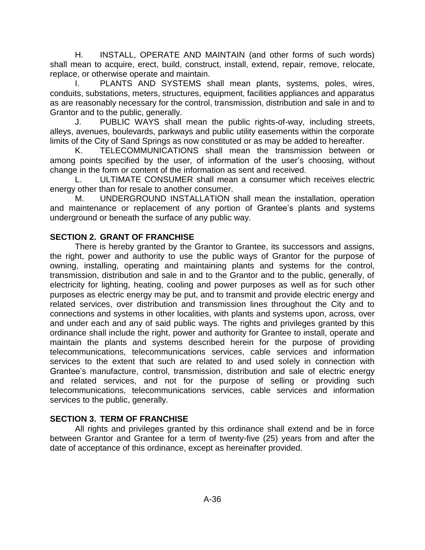H. INSTALL, OPERATE AND MAINTAIN (and other forms of such words) shall mean to acquire, erect, build, construct, install, extend, repair, remove, relocate, replace, or otherwise operate and maintain.

PLANTS AND SYSTEMS shall mean plants, systems, poles, wires, conduits, substations, meters, structures, equipment, facilities appliances and apparatus as are reasonably necessary for the control, transmission, distribution and sale in and to Grantor and to the public, generally.

J. PUBLIC WAYS shall mean the public rights-of-way, including streets, alleys, avenues, boulevards, parkways and public utility easements within the corporate limits of the City of Sand Springs as now constituted or as may be added to hereafter.

K. TELECOMMUNICATIONS shall mean the transmission between or among points specified by the user, of information of the user's choosing, without change in the form or content of the information as sent and received.

L. ULTIMATE CONSUMER shall mean a consumer which receives electric energy other than for resale to another consumer.

M. UNDERGROUND INSTALLATION shall mean the installation, operation and maintenance or replacement of any portion of Grantee's plants and systems underground or beneath the surface of any public way.

# **SECTION 2. GRANT OF FRANCHISE**

There is hereby granted by the Grantor to Grantee, its successors and assigns, the right, power and authority to use the public ways of Grantor for the purpose of owning, installing, operating and maintaining plants and systems for the control, transmission, distribution and sale in and to the Grantor and to the public, generally, of electricity for lighting, heating, cooling and power purposes as well as for such other purposes as electric energy may be put, and to transmit and provide electric energy and related services, over distribution and transmission lines throughout the City and to connections and systems in other localities, with plants and systems upon, across, over and under each and any of said public ways. The rights and privileges granted by this ordinance shall include the right, power and authority for Grantee to install, operate and maintain the plants and systems described herein for the purpose of providing telecommunications, telecommunications services, cable services and information services to the extent that such are related to and used solely in connection with Grantee's manufacture, control, transmission, distribution and sale of electric energy and related services, and not for the purpose of selling or providing such telecommunications, telecommunications services, cable services and information services to the public, generally.

# **SECTION 3. TERM OF FRANCHISE**

All rights and privileges granted by this ordinance shall extend and be in force between Grantor and Grantee for a term of twenty-five (25) years from and after the date of acceptance of this ordinance, except as hereinafter provided.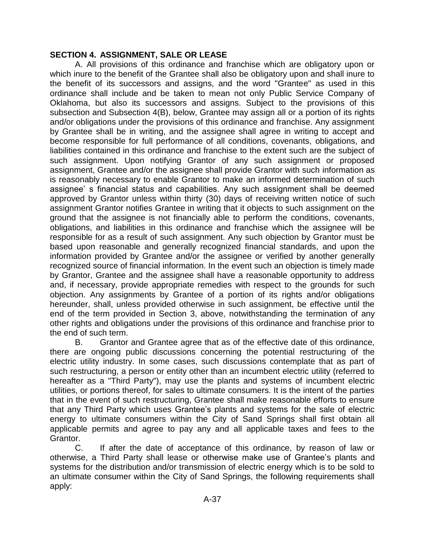#### **SECTION 4. ASSIGNMENT, SALE OR LEASE**

A. All provisions of this ordinance and franchise which are obligatory upon or which inure to the benefit of the Grantee shall also be obligatory upon and shall inure to the benefit of its successors and assigns, and the word "Grantee" as used in this ordinance shall include and be taken to mean not only Public Service Company of Oklahoma, but also its successors and assigns. Subject to the provisions of this subsection and Subsection 4(B), below, Grantee may assign all or a portion of its rights and/or obligations under the provisions of this ordinance and franchise. Any assignment by Grantee shall be in writing, and the assignee shall agree in writing to accept and become responsible for full performance of all conditions, covenants, obligations, and liabilities contained in this ordinance and franchise to the extent such are the subject of such assignment. Upon notifying Grantor of any such assignment or proposed assignment, Grantee and/or the assignee shall provide Grantor with such information as is reasonably necessary to enable Grantor to make an informed determination of such assignee' s financial status and capabilities. Any such assignment shall be deemed approved by Grantor unless within thirty (30) days of receiving written notice of such assignment Grantor notifies Grantee in writing that it objects to such assignment on the ground that the assignee is not financially able to perform the conditions, covenants, obligations, and liabilities in this ordinance and franchise which the assignee will be responsible for as a result of such assignment. Any such objection by Grantor must be based upon reasonable and generally recognized financial standards, and upon the information provided by Grantee and/or the assignee or verified by another generally recognized source of financial information. In the event such an objection is timely made by Grantor, Grantee and the assignee shall have a reasonable opportunity to address and, if necessary, provide appropriate remedies with respect to the grounds for such objection. Any assignments by Grantee of a portion of its rights and/or obligations hereunder, shall, unless provided otherwise in such assignment, be effective until the end of the term provided in Section 3, above, notwithstanding the termination of any other rights and obligations under the provisions of this ordinance and franchise prior to the end of such term.

B. Grantor and Grantee agree that as of the effective date of this ordinance, there are ongoing public discussions concerning the potential restructuring of the electric utility industry. In some cases, such discussions contemplate that as part of such restructuring, a person or entity other than an incumbent electric utility (referred to hereafter as a "Third Party"), may use the plants and systems of incumbent electric utilities, or portions thereof, for sales to ultimate consumers. It is the intent of the parties that in the event of such restructuring, Grantee shall make reasonable efforts to ensure that any Third Party which uses Grantee's plants and systems for the sale of electric energy to ultimate consumers within the City of Sand Springs shall first obtain all applicable permits and agree to pay any and all applicable taxes and fees to the Grantor.

C. If after the date of acceptance of this ordinance, by reason of law or otherwise, a Third Party shall lease or otherwise make use of Grantee's plants and systems for the distribution and/or transmission of electric energy which is to be sold to an ultimate consumer within the City of Sand Springs, the following requirements shall apply: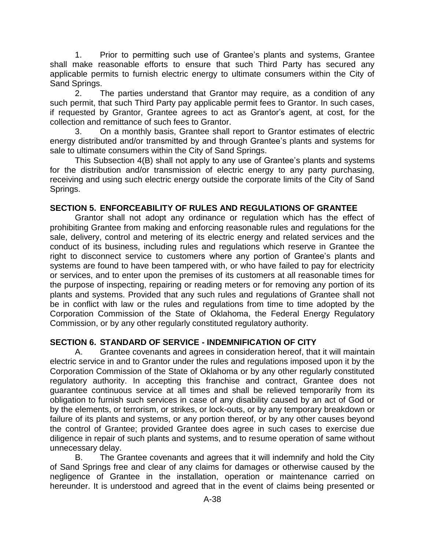1. Prior to permitting such use of Grantee's plants and systems, Grantee shall make reasonable efforts to ensure that such Third Party has secured any applicable permits to furnish electric energy to ultimate consumers within the City of Sand Springs.

2. The parties understand that Grantor may require, as a condition of any such permit, that such Third Party pay applicable permit fees to Grantor. In such cases, if requested by Grantor, Grantee agrees to act as Grantor's agent, at cost, for the collection and remittance of such fees to Grantor.

3. On a monthly basis, Grantee shall report to Grantor estimates of electric energy distributed and/or transmitted by and through Grantee's plants and systems for sale to ultimate consumers within the City of Sand Springs.

This Subsection 4(B) shall not apply to any use of Grantee's plants and systems for the distribution and/or transmission of electric energy to any party purchasing, receiving and using such electric energy outside the corporate limits of the City of Sand Springs.

## **SECTION 5. ENFORCEABILITY OF RULES AND REGULATIONS OF GRANTEE**

Grantor shall not adopt any ordinance or regulation which has the effect of prohibiting Grantee from making and enforcing reasonable rules and regulations for the sale, delivery, control and metering of its electric energy and related services and the conduct of its business, including rules and regulations which reserve in Grantee the right to disconnect service to customers where any portion of Grantee's plants and systems are found to have been tampered with, or who have failed to pay for electricity or services, and to enter upon the premises of its customers at all reasonable times for the purpose of inspecting, repairing or reading meters or for removing any portion of its plants and systems. Provided that any such rules and regulations of Grantee shall not be in conflict with law or the rules and regulations from time to time adopted by the Corporation Commission of the State of Oklahoma, the Federal Energy Regulatory Commission, or by any other regularly constituted regulatory authority.

#### **SECTION 6. STANDARD OF SERVICE - INDEMNIFICATION OF CITY**

A. Grantee covenants and agrees in consideration hereof, that it will maintain electric service in and to Grantor under the rules and regulations imposed upon it by the Corporation Commission of the State of Oklahoma or by any other regularly constituted regulatory authority. In accepting this franchise and contract, Grantee does not guarantee continuous service at all times and shall be relieved temporarily from its obligation to furnish such services in case of any disability caused by an act of God or by the elements, or terrorism, or strikes, or lock-outs, or by any temporary breakdown or failure of its plants and systems, or any portion thereof, or by any other causes beyond the control of Grantee; provided Grantee does agree in such cases to exercise due diligence in repair of such plants and systems, and to resume operation of same without unnecessary delay.

B. The Grantee covenants and agrees that it will indemnify and hold the City of Sand Springs free and clear of any claims for damages or otherwise caused by the negligence of Grantee in the installation, operation or maintenance carried on hereunder. It is understood and agreed that in the event of claims being presented or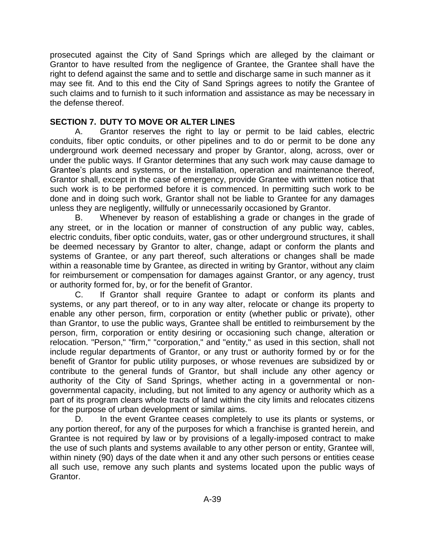prosecuted against the City of Sand Springs which are alleged by the claimant or Grantor to have resulted from the negligence of Grantee, the Grantee shall have the right to defend against the same and to settle and discharge same in such manner as it may see fit. And to this end the City of Sand Springs agrees to notify the Grantee of such claims and to furnish to it such information and assistance as may be necessary in the defense thereof.

## **SECTION 7. DUTY TO MOVE OR ALTER LINES**

A. Grantor reserves the right to lay or permit to be laid cables, electric conduits, fiber optic conduits, or other pipelines and to do or permit to be done any underground work deemed necessary and proper by Grantor, along, across, over or under the public ways. If Grantor determines that any such work may cause damage to Grantee's plants and systems, or the installation, operation and maintenance thereof, Grantor shall, except in the case of emergency, provide Grantee with written notice that such work is to be performed before it is commenced. In permitting such work to be done and in doing such work, Grantor shall not be liable to Grantee for any damages unless they are negligently, willfully or unnecessarily occasioned by Grantor.

B. Whenever by reason of establishing a grade or changes in the grade of any street, or in the location or manner of construction of any public way, cables, electric conduits, fiber optic conduits, water, gas or other underground structures, it shall be deemed necessary by Grantor to alter, change, adapt or conform the plants and systems of Grantee, or any part thereof, such alterations or changes shall be made within a reasonable time by Grantee, as directed in writing by Grantor, without any claim for reimbursement or compensation for damages against Grantor, or any agency, trust or authority formed for, by, or for the benefit of Grantor.

C. If Grantor shall require Grantee to adapt or conform its plants and systems, or any part thereof, or to in any way alter, relocate or change its property to enable any other person, firm, corporation or entity (whether public or private), other than Grantor, to use the public ways, Grantee shall be entitled to reimbursement by the person, firm, corporation or entity desiring or occasioning such change, alteration or relocation. "Person," "firm," "corporation," and "entity," as used in this section, shall not include regular departments of Grantor, or any trust or authority formed by or for the benefit of Grantor for public utility purposes, or whose revenues are subsidized by or contribute to the general funds of Grantor, but shall include any other agency or authority of the City of Sand Springs, whether acting in a governmental or nongovernmental capacity, including, but not limited to any agency or authority which as a part of its program clears whole tracts of land within the city limits and relocates citizens for the purpose of urban development or similar aims.

D. In the event Grantee ceases completely to use its plants or systems, or any portion thereof, for any of the purposes for which a franchise is granted herein, and Grantee is not required by law or by provisions of a legally-imposed contract to make the use of such plants and systems available to any other person or entity, Grantee will, within ninety (90) days of the date when it and any other such persons or entities cease all such use, remove any such plants and systems located upon the public ways of Grantor.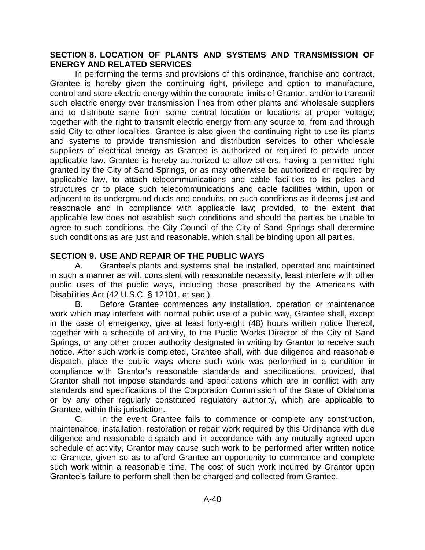#### **SECTION 8. LOCATION OF PLANTS AND SYSTEMS AND TRANSMISSION OF ENERGY AND RELATED SERVICES**

In performing the terms and provisions of this ordinance, franchise and contract, Grantee is hereby given the continuing right, privilege and option to manufacture, control and store electric energy within the corporate limits of Grantor, and/or to transmit such electric energy over transmission lines from other plants and wholesale suppliers and to distribute same from some central location or locations at proper voltage; together with the right to transmit electric energy from any source to, from and through said City to other localities. Grantee is also given the continuing right to use its plants and systems to provide transmission and distribution services to other wholesale suppliers of electrical energy as Grantee is authorized or required to provide under applicable law. Grantee is hereby authorized to allow others, having a permitted right granted by the City of Sand Springs, or as may otherwise be authorized or required by applicable law, to attach telecommunications and cable facilities to its poles and structures or to place such telecommunications and cable facilities within, upon or adjacent to its underground ducts and conduits, on such conditions as it deems just and reasonable and in compliance with applicable law; provided, to the extent that applicable law does not establish such conditions and should the parties be unable to agree to such conditions, the City Council of the City of Sand Springs shall determine such conditions as are just and reasonable, which shall be binding upon all parties.

# **SECTION 9. USE AND REPAIR OF THE PUBLIC WAYS**

A. Grantee's plants and systems shall be installed, operated and maintained in such a manner as will, consistent with reasonable necessity, least interfere with other public uses of the public ways, including those prescribed by the Americans with Disabilities Act (42 U.S.C. § 12101, et seq.).

B. Before Grantee commences any installation, operation or maintenance work which may interfere with normal public use of a public way, Grantee shall, except in the case of emergency, give at least forty-eight (48) hours written notice thereof, together with a schedule of activity, to the Public Works Director of the City of Sand Springs, or any other proper authority designated in writing by Grantor to receive such notice. After such work is completed, Grantee shall, with due diligence and reasonable dispatch, place the public ways where such work was performed in a condition in compliance with Grantor's reasonable standards and specifications; provided, that Grantor shall not impose standards and specifications which are in conflict with any standards and specifications of the Corporation Commission of the State of Oklahoma or by any other regularly constituted regulatory authority, which are applicable to Grantee, within this jurisdiction.

C. In the event Grantee fails to commence or complete any construction, maintenance, installation, restoration or repair work required by this Ordinance with due diligence and reasonable dispatch and in accordance with any mutually agreed upon schedule of activity, Grantor may cause such work to be performed after written notice to Grantee, given so as to afford Grantee an opportunity to commence and complete such work within a reasonable time. The cost of such work incurred by Grantor upon Grantee's failure to perform shall then be charged and collected from Grantee.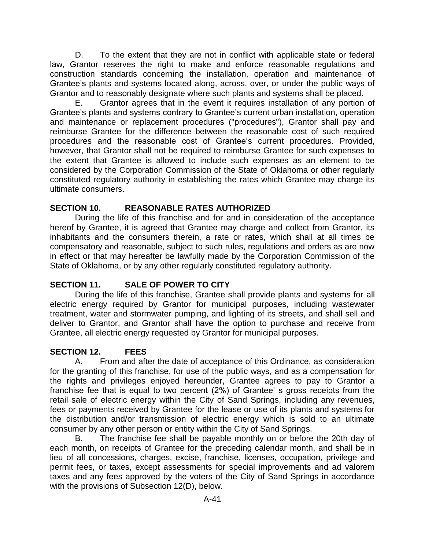D. To the extent that they are not in conflict with applicable state or federal law, Grantor reserves the right to make and enforce reasonable regulations and construction standards concerning the installation, operation and maintenance of Grantee's plants and systems located along, across, over, or under the public ways of Grantor and to reasonably designate where such plants and systems shall be placed.

E. Grantor agrees that in the event it requires installation of any portion of Grantee's plants and systems contrary to Grantee's current urban installation, operation and maintenance or replacement procedures ("procedures"), Grantor shall pay and reimburse Grantee for the difference between the reasonable cost of such required procedures and the reasonable cost of Grantee's current procedures. Provided, however, that Grantor shall not be required to reimburse Grantee for such expenses to the extent that Grantee is allowed to include such expenses as an element to be considered by the Corporation Commission of the State of Oklahoma or other regularly constituted regulatory authority in establishing the rates which Grantee may charge its ultimate consumers.

# **SECTION 10. REASONABLE RATES AUTHORIZED**

During the life of this franchise and for and in consideration of the acceptance hereof by Grantee, it is agreed that Grantee may charge and collect from Grantor, its inhabitants and the consumers therein, a rate or rates, which shall at all times be compensatory and reasonable, subject to such rules, regulations and orders as are now in effect or that may hereafter be lawfully made by the Corporation Commission of the State of Oklahoma, or by any other regularly constituted regulatory authority.

# **SECTION 11. SALE OF POWER TO CITY**

During the life of this franchise, Grantee shall provide plants and systems for all electric energy required by Grantor for municipal purposes, including wastewater treatment, water and stormwater pumping, and lighting of its streets, and shall sell and deliver to Grantor, and Grantor shall have the option to purchase and receive from Grantee, all electric energy requested by Grantor for municipal purposes.

#### **SECTION 12. FEES**

A. From and after the date of acceptance of this Ordinance, as consideration for the granting of this franchise, for use of the public ways, and as a compensation for the rights and privileges enjoyed hereunder, Grantee agrees to pay to Grantor a franchise fee that is equal to two percent (2%) of Grantee' s gross receipts from the retail sale of electric energy within the City of Sand Springs, including any revenues, fees or payments received by Grantee for the lease or use of its plants and systems for the distribution and/or transmission of electric energy which is sold to an ultimate consumer by any other person or entity within the City of Sand Springs.

B. The franchise fee shall be payable monthly on or before the 20th day of each month, on receipts of Grantee for the preceding calendar month, and shall be in lieu of all concessions, charges, excise, franchise, licenses, occupation, privilege and permit fees, or taxes, except assessments for special improvements and ad valorem taxes and any fees approved by the voters of the City of Sand Springs in accordance with the provisions of Subsection 12(D), below.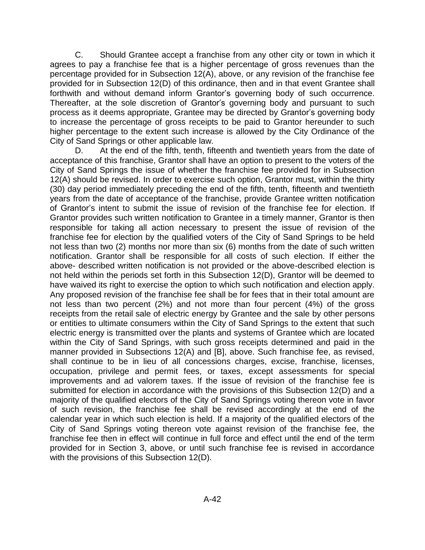C. Should Grantee accept a franchise from any other city or town in which it agrees to pay a franchise fee that is a higher percentage of gross revenues than the percentage provided for in Subsection 12(A), above, or any revision of the franchise fee provided for in Subsection 12(D) of this ordinance, then and in that event Grantee shall forthwith and without demand inform Grantor's governing body of such occurrence. Thereafter, at the sole discretion of Grantor's governing body and pursuant to such process as it deems appropriate, Grantee may be directed by Grantor's governing body to increase the percentage of gross receipts to be paid to Grantor hereunder to such higher percentage to the extent such increase is allowed by the City Ordinance of the City of Sand Springs or other applicable law.

D. At the end of the fifth, tenth, fifteenth and twentieth years from the date of acceptance of this franchise, Grantor shall have an option to present to the voters of the City of Sand Springs the issue of whether the franchise fee provided for in Subsection 12(A) should be revised. In order to exercise such option, Grantor must, within the thirty (30) day period immediately preceding the end of the fifth, tenth, fifteenth and twentieth years from the date of acceptance of the franchise, provide Grantee written notification of Grantor's intent to submit the issue of revision of the franchise fee for election. If Grantor provides such written notification to Grantee in a timely manner, Grantor is then responsible for taking all action necessary to present the issue of revision of the franchise fee for election by the qualified voters of the City of Sand Springs to be held not less than two (2) months nor more than six (6) months from the date of such written notification. Grantor shall be responsible for all costs of such election. If either the above- described written notification is not provided or the above-described election is not held within the periods set forth in this Subsection 12(D), Grantor will be deemed to have waived its right to exercise the option to which such notification and election apply. Any proposed revision of the franchise fee shall be for fees that in their total amount are not less than two percent (2%) and not more than four percent (4%) of the gross receipts from the retail sale of electric energy by Grantee and the sale by other persons or entities to ultimate consumers within the City of Sand Springs to the extent that such electric energy is transmitted over the plants and systems of Grantee which are located within the City of Sand Springs, with such gross receipts determined and paid in the manner provided in Subsections 12(A) and [B], above. Such franchise fee, as revised, shall continue to be in lieu of all concessions charges, excise, franchise, licenses, occupation, privilege and permit fees, or taxes, except assessments for special improvements and ad valorem taxes. If the issue of revision of the franchise fee is submitted for election in accordance with the provisions of this Subsection 12(D) and a majority of the qualified electors of the City of Sand Springs voting thereon vote in favor of such revision, the franchise fee shall be revised accordingly at the end of the calendar year in which such election is held. If a majority of the qualified electors of the City of Sand Springs voting thereon vote against revision of the franchise fee, the franchise fee then in effect will continue in full force and effect until the end of the term provided for in Section 3, above, or until such franchise fee is revised in accordance with the provisions of this Subsection 12(D).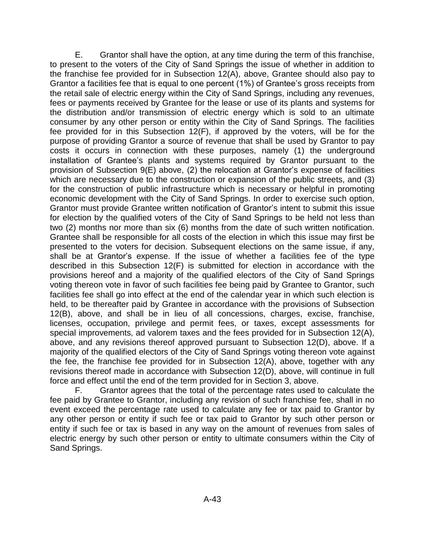E. Grantor shall have the option, at any time during the term of this franchise, to present to the voters of the City of Sand Springs the issue of whether in addition to the franchise fee provided for in Subsection 12(A), above, Grantee should also pay to Grantor a facilities fee that is equal to one percent (1%) of Grantee's gross receipts from the retail sale of electric energy within the City of Sand Springs, including any revenues, fees or payments received by Grantee for the lease or use of its plants and systems for the distribution and/or transmission of electric energy which is sold to an ultimate consumer by any other person or entity within the City of Sand Springs. The facilities fee provided for in this Subsection 12(F), if approved by the voters, will be for the purpose of providing Grantor a source of revenue that shall be used by Grantor to pay costs it occurs in connection with these purposes, namely (1) the underground installation of Grantee's plants and systems required by Grantor pursuant to the provision of Subsection 9(E) above, (2) the relocation at Grantor's expense of facilities which are necessary due to the construction or expansion of the public streets, and (3) for the construction of public infrastructure which is necessary or helpful in promoting economic development with the City of Sand Springs. In order to exercise such option, Grantor must provide Grantee written notification of Grantor's intent to submit this issue for election by the qualified voters of the City of Sand Springs to be held not less than two (2) months nor more than six (6) months from the date of such written notification. Grantee shall be responsible for all costs of the election in which this issue may first be presented to the voters for decision. Subsequent elections on the same issue, if any, shall be at Grantor's expense. If the issue of whether a facilities fee of the type described in this Subsection 12(F) is submitted for election in accordance with the provisions hereof and a majority of the qualified electors of the City of Sand Springs voting thereon vote in favor of such facilities fee being paid by Grantee to Grantor, such facilities fee shall go into effect at the end of the calendar year in which such election is held, to be thereafter paid by Grantee in accordance with the provisions of Subsection 12(B), above, and shall be in lieu of all concessions, charges, excise, franchise, licenses, occupation, privilege and permit fees, or taxes, except assessments for special improvements, ad valorem taxes and the fees provided for in Subsection 12(A), above, and any revisions thereof approved pursuant to Subsection 12(D), above. If a majority of the qualified electors of the City of Sand Springs voting thereon vote against the fee, the franchise fee provided for in Subsection 12(A), above, together with any revisions thereof made in accordance with Subsection 12(D), above, will continue in full force and effect until the end of the term provided for in Section 3, above.

F. Grantor agrees that the total of the percentage rates used to calculate the fee paid by Grantee to Grantor, including any revision of such franchise fee, shall in no event exceed the percentage rate used to calculate any fee or tax paid to Grantor by any other person or entity if such fee or tax paid to Grantor by such other person or entity if such fee or tax is based in any way on the amount of revenues from sales of electric energy by such other person or entity to ultimate consumers within the City of Sand Springs.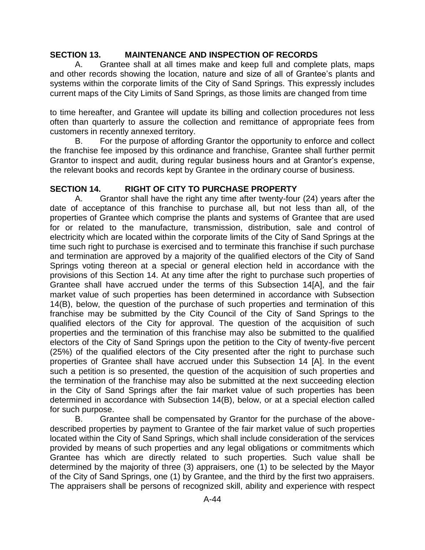## **SECTION 13. MAINTENANCE AND INSPECTION OF RECORDS**

A. Grantee shall at all times make and keep full and complete plats, maps and other records showing the location, nature and size of all of Grantee's plants and systems within the corporate limits of the City of Sand Springs. This expressly includes current maps of the City Limits of Sand Springs, as those limits are changed from time

to time hereafter, and Grantee will update its billing and collection procedures not less often than quarterly to assure the collection and remittance of appropriate fees from customers in recently annexed territory.

B. For the purpose of affording Grantor the opportunity to enforce and collect the franchise fee imposed by this ordinance and franchise, Grantee shall further permit Grantor to inspect and audit, during regular business hours and at Grantor's expense, the relevant books and records kept by Grantee in the ordinary course of business.

## **SECTION 14. RIGHT OF CITY TO PURCHASE PROPERTY**

A. Grantor shall have the right any time after twenty-four (24) years after the date of acceptance of this franchise to purchase all, but not less than all, of the properties of Grantee which comprise the plants and systems of Grantee that are used for or related to the manufacture, transmission, distribution, sale and control of electricity which are located within the corporate limits of the City of Sand Springs at the time such right to purchase is exercised and to terminate this franchise if such purchase and termination are approved by a majority of the qualified electors of the City of Sand Springs voting thereon at a special or general election held in accordance with the provisions of this Section 14. At any time after the right to purchase such properties of Grantee shall have accrued under the terms of this Subsection 14[A], and the fair market value of such properties has been determined in accordance with Subsection 14(B), below, the question of the purchase of such properties and termination of this franchise may be submitted by the City Council of the City of Sand Springs to the qualified electors of the City for approval. The question of the acquisition of such properties and the termination of this franchise may also be submitted to the qualified electors of the City of Sand Springs upon the petition to the City of twenty-five percent (25%) of the qualified electors of the City presented after the right to purchase such properties of Grantee shall have accrued under this Subsection 14 [A]. In the event such a petition is so presented, the question of the acquisition of such properties and the termination of the franchise may also be submitted at the next succeeding election in the City of Sand Springs after the fair market value of such properties has been determined in accordance with Subsection 14(B), below, or at a special election called for such purpose.

B. Grantee shall be compensated by Grantor for the purchase of the abovedescribed properties by payment to Grantee of the fair market value of such properties located within the City of Sand Springs, which shall include consideration of the services provided by means of such properties and any legal obligations or commitments which Grantee has which are directly related to such properties. Such value shall be determined by the majority of three (3) appraisers, one (1) to be selected by the Mayor of the City of Sand Springs, one (1) by Grantee, and the third by the first two appraisers. The appraisers shall be persons of recognized skill, ability and experience with respect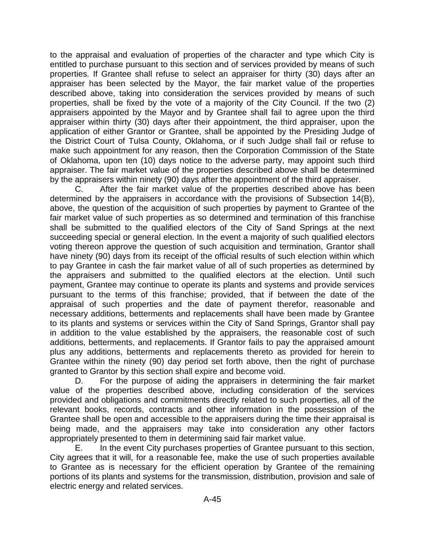to the appraisal and evaluation of properties of the character and type which City is entitled to purchase pursuant to this section and of services provided by means of such properties. If Grantee shall refuse to select an appraiser for thirty (30) days after an appraiser has been selected by the Mayor, the fair market value of the properties described above, taking into consideration the services provided by means of such properties, shall be fixed by the vote of a majority of the City Council. If the two (2) appraisers appointed by the Mayor and by Grantee shall fail to agree upon the third appraiser within thirty (30) days after their appointment, the third appraiser, upon the application of either Grantor or Grantee, shall be appointed by the Presiding Judge of the District Court of Tulsa County, Oklahoma, or if such Judge shall fail or refuse to make such appointment for any reason, then the Corporation Commission of the State of Oklahoma, upon ten (10) days notice to the adverse party, may appoint such third appraiser. The fair market value of the properties described above shall be determined by the appraisers within ninety (90) days after the appointment of the third appraiser.

C. After the fair market value of the properties described above has been determined by the appraisers in accordance with the provisions of Subsection 14(B), above, the question of the acquisition of such properties by payment to Grantee of the fair market value of such properties as so determined and termination of this franchise shall be submitted to the qualified electors of the City of Sand Springs at the next succeeding special or general election. In the event a majority of such qualified electors voting thereon approve the question of such acquisition and termination, Grantor shall have ninety (90) days from its receipt of the official results of such election within which to pay Grantee in cash the fair market value of all of such properties as determined by the appraisers and submitted to the qualified electors at the election. Until such payment, Grantee may continue to operate its plants and systems and provide services pursuant to the terms of this franchise; provided, that if between the date of the appraisal of such properties and the date of payment therefor, reasonable and necessary additions, betterments and replacements shall have been made by Grantee to its plants and systems or services within the City of Sand Springs, Grantor shall pay in addition to the value established by the appraisers, the reasonable cost of such additions, betterments, and replacements. If Grantor fails to pay the appraised amount plus any additions, betterments and replacements thereto as provided for herein to Grantee within the ninety (90) day period set forth above, then the right of purchase granted to Grantor by this section shall expire and become void.

D. For the purpose of aiding the appraisers in determining the fair market value of the properties described above, including consideration of the services provided and obligations and commitments directly related to such properties, all of the relevant books, records, contracts and other information in the possession of the Grantee shall be open and accessible to the appraisers during the time their appraisal is being made, and the appraisers may take into consideration any other factors appropriately presented to them in determining said fair market value.

E. In the event City purchases properties of Grantee pursuant to this section, City agrees that it will, for a reasonable fee, make the use of such properties available to Grantee as is necessary for the efficient operation by Grantee of the remaining portions of its plants and systems for the transmission, distribution, provision and sale of electric energy and related services.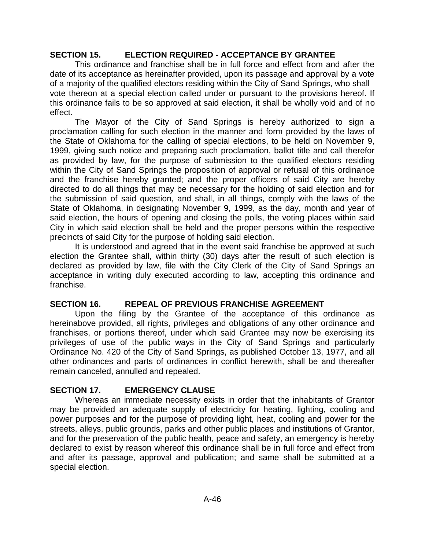#### **SECTION 15. ELECTION REQUIRED - ACCEPTANCE BY GRANTEE**

This ordinance and franchise shall be in full force and effect from and after the date of its acceptance as hereinafter provided, upon its passage and approval by a vote of a majority of the qualified electors residing within the City of Sand Springs, who shall vote thereon at a special election called under or pursuant to the provisions hereof. If this ordinance fails to be so approved at said election, it shall be wholly void and of no effect.

The Mayor of the City of Sand Springs is hereby authorized to sign a proclamation calling for such election in the manner and form provided by the laws of the State of Oklahoma for the calling of special elections, to be held on November 9, 1999, giving such notice and preparing such proclamation, ballot title and call therefor as provided by law, for the purpose of submission to the qualified electors residing within the City of Sand Springs the proposition of approval or refusal of this ordinance and the franchise hereby granted; and the proper officers of said City are hereby directed to do all things that may be necessary for the holding of said election and for the submission of said question, and shall, in all things, comply with the laws of the State of Oklahoma, in designating November 9, 1999, as the day, month and year of said election, the hours of opening and closing the polls, the voting places within said City in which said election shall be held and the proper persons within the respective precincts of said City for the purpose of holding said election.

It is understood and agreed that in the event said franchise be approved at such election the Grantee shall, within thirty (30) days after the result of such election is declared as provided by law, file with the City Clerk of the City of Sand Springs an acceptance in writing duly executed according to law, accepting this ordinance and franchise.

#### **SECTION 16. REPEAL OF PREVIOUS FRANCHISE AGREEMENT**

Upon the filing by the Grantee of the acceptance of this ordinance as hereinabove provided, all rights, privileges and obligations of any other ordinance and franchises, or portions thereof, under which said Grantee may now be exercising its privileges of use of the public ways in the City of Sand Springs and particularly Ordinance No. 420 of the City of Sand Springs, as published October 13, 1977, and all other ordinances and parts of ordinances in conflict herewith, shall be and thereafter remain canceled, annulled and repealed.

#### **SECTION 17. EMERGENCY CLAUSE**

Whereas an immediate necessity exists in order that the inhabitants of Grantor may be provided an adequate supply of electricity for heating, lighting, cooling and power purposes and for the purpose of providing light, heat, cooling and power for the streets, alleys, public grounds, parks and other public places and institutions of Grantor, and for the preservation of the public health, peace and safety, an emergency is hereby declared to exist by reason whereof this ordinance shall be in full force and effect from and after its passage, approval and publication; and same shall be submitted at a special election.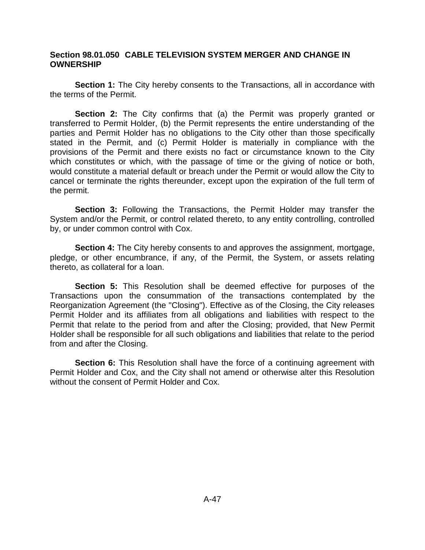#### **Section 98.01.050 CABLE TELEVISION SYSTEM MERGER AND CHANGE IN OWNERSHIP**

**Section 1:** The City hereby consents to the Transactions, all in accordance with the terms of the Permit.

**Section 2:** The City confirms that (a) the Permit was properly granted or transferred to Permit Holder, (b) the Permit represents the entire understanding of the parties and Permit Holder has no obligations to the City other than those specifically stated in the Permit, and (c) Permit Holder is materially in compliance with the provisions of the Permit and there exists no fact or circumstance known to the City which constitutes or which, with the passage of time or the giving of notice or both, would constitute a material default or breach under the Permit or would allow the City to cancel or terminate the rights thereunder, except upon the expiration of the full term of the permit.

**Section 3:** Following the Transactions, the Permit Holder may transfer the System and/or the Permit, or control related thereto, to any entity controlling, controlled by, or under common control with Cox.

**Section 4:** The City hereby consents to and approves the assignment, mortgage, pledge, or other encumbrance, if any, of the Permit, the System, or assets relating thereto, as collateral for a loan.

**Section 5:** This Resolution shall be deemed effective for purposes of the Transactions upon the consummation of the transactions contemplated by the Reorganization Agreement (the "Closing"). Effective as of the Closing, the City releases Permit Holder and its affiliates from all obligations and liabilities with respect to the Permit that relate to the period from and after the Closing; provided, that New Permit Holder shall be responsible for all such obligations and liabilities that relate to the period from and after the Closing.

**Section 6:** This Resolution shall have the force of a continuing agreement with Permit Holder and Cox, and the City shall not amend or otherwise alter this Resolution without the consent of Permit Holder and Cox.